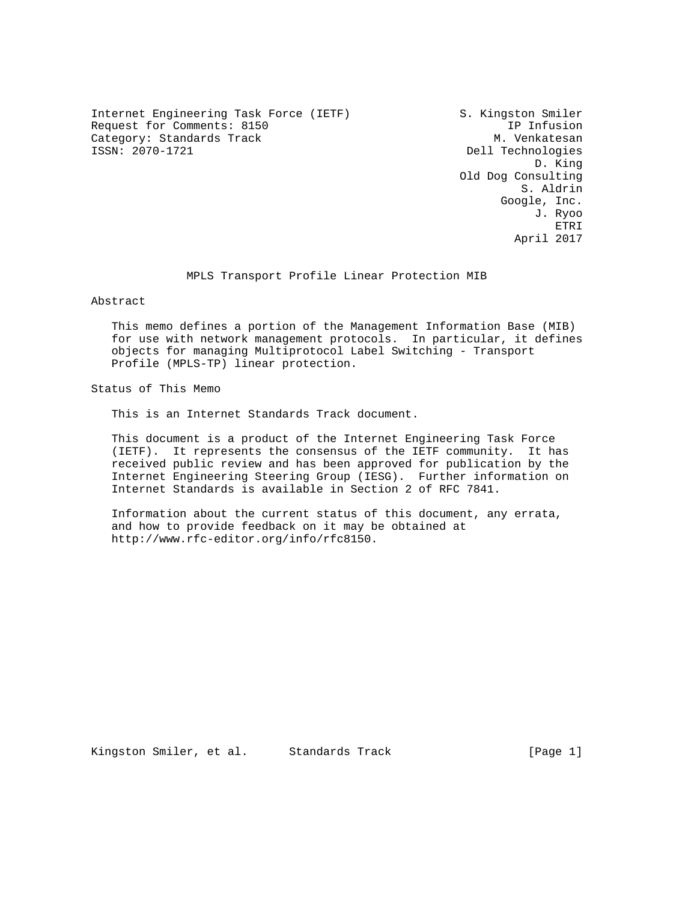Internet Engineering Task Force (IETF) S. Kingston Smiler Request for Comments: 8150 IP Infusion Category: Standards Track M. Venkatesan<br>
ISSN: 2070-1721 Dell Technologies

Dell Technologies D. King Old Dog Consulting S. Aldrin Google, Inc. J. Ryoo et al. 1993. ETRI et al. 1994 et al. 1994 et al. 1994 et al. 1994 et al. 1994 et al. 1994 et al. 1994 et al. 1 April 2017

MPLS Transport Profile Linear Protection MIB

Abstract

 This memo defines a portion of the Management Information Base (MIB) for use with network management protocols. In particular, it defines objects for managing Multiprotocol Label Switching - Transport Profile (MPLS-TP) linear protection.

Status of This Memo

This is an Internet Standards Track document.

 This document is a product of the Internet Engineering Task Force (IETF). It represents the consensus of the IETF community. It has received public review and has been approved for publication by the Internet Engineering Steering Group (IESG). Further information on Internet Standards is available in Section 2 of RFC 7841.

 Information about the current status of this document, any errata, and how to provide feedback on it may be obtained at http://www.rfc-editor.org/info/rfc8150.

Kingston Smiler, et al. Standards Track [Page 1]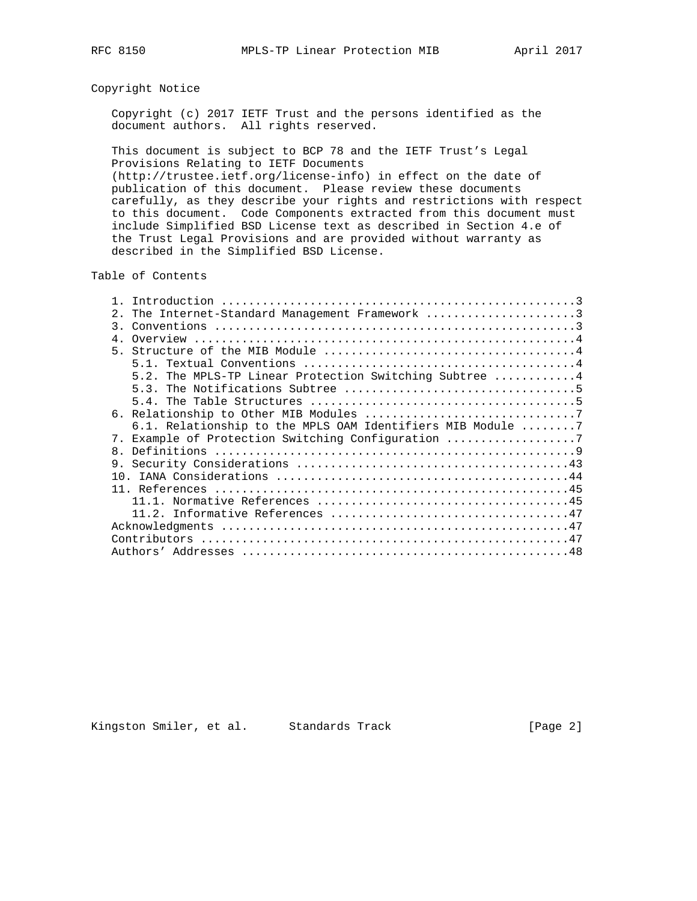# Copyright Notice

 Copyright (c) 2017 IETF Trust and the persons identified as the document authors. All rights reserved.

 This document is subject to BCP 78 and the IETF Trust's Legal Provisions Relating to IETF Documents (http://trustee.ietf.org/license-info) in effect on the date of publication of this document. Please review these documents carefully, as they describe your rights and restrictions with respect

 to this document. Code Components extracted from this document must include Simplified BSD License text as described in Section 4.e of the Trust Legal Provisions and are provided without warranty as described in the Simplified BSD License.

Table of Contents

| The Internet-Standard Management Framework 3<br>2.                                                        |
|-----------------------------------------------------------------------------------------------------------|
| Conventions $\dots\dots\dots\dots\dots\dots\dots\dots\dots\dots\dots\dots\dots\dots\dots\dots\dots$<br>3. |
| $4 \cdot$                                                                                                 |
|                                                                                                           |
| 5 1                                                                                                       |
| The MPLS-TP Linear Protection Switching Subtree 4<br>52                                                   |
|                                                                                                           |
|                                                                                                           |
|                                                                                                           |
| 6.1. Relationship to the MPLS OAM Identifiers MIB Module 7                                                |
| 7. Example of Protection Switching Configuration 7                                                        |
| 8 <sub>1</sub>                                                                                            |
|                                                                                                           |
|                                                                                                           |
|                                                                                                           |
|                                                                                                           |
|                                                                                                           |
|                                                                                                           |
|                                                                                                           |
|                                                                                                           |

Kingston Smiler, et al. Standards Track [Page 2]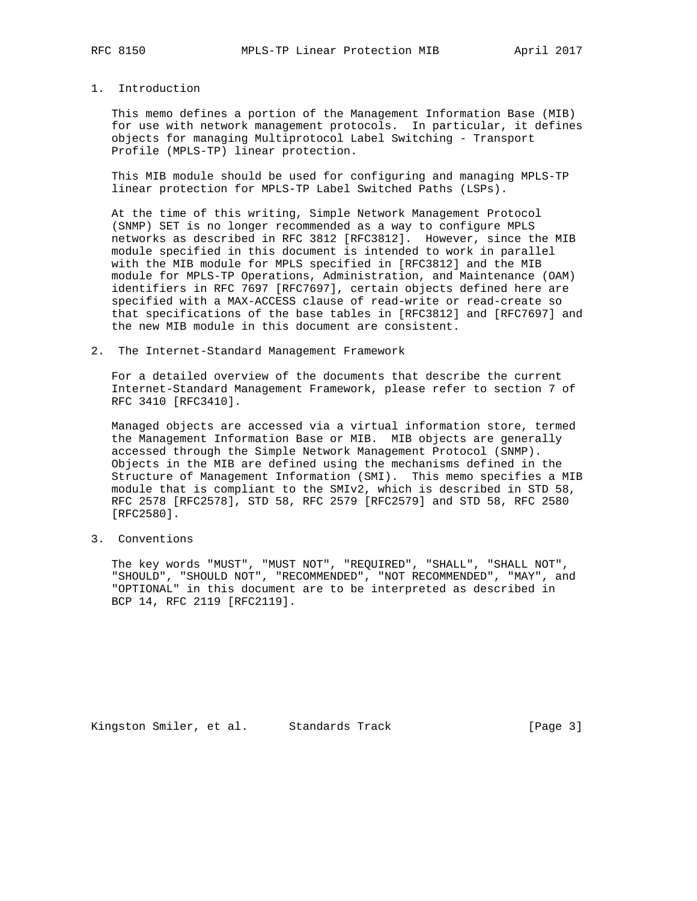## 1. Introduction

 This memo defines a portion of the Management Information Base (MIB) for use with network management protocols. In particular, it defines objects for managing Multiprotocol Label Switching - Transport Profile (MPLS-TP) linear protection.

 This MIB module should be used for configuring and managing MPLS-TP linear protection for MPLS-TP Label Switched Paths (LSPs).

 At the time of this writing, Simple Network Management Protocol (SNMP) SET is no longer recommended as a way to configure MPLS networks as described in RFC 3812 [RFC3812]. However, since the MIB module specified in this document is intended to work in parallel with the MIB module for MPLS specified in [RFC3812] and the MIB module for MPLS-TP Operations, Administration, and Maintenance (OAM) identifiers in RFC 7697 [RFC7697], certain objects defined here are specified with a MAX-ACCESS clause of read-write or read-create so that specifications of the base tables in [RFC3812] and [RFC7697] and the new MIB module in this document are consistent.

2. The Internet-Standard Management Framework

 For a detailed overview of the documents that describe the current Internet-Standard Management Framework, please refer to section 7 of RFC 3410 [RFC3410].

 Managed objects are accessed via a virtual information store, termed the Management Information Base or MIB. MIB objects are generally accessed through the Simple Network Management Protocol (SNMP). Objects in the MIB are defined using the mechanisms defined in the Structure of Management Information (SMI). This memo specifies a MIB module that is compliant to the SMIv2, which is described in STD 58, RFC 2578 [RFC2578], STD 58, RFC 2579 [RFC2579] and STD 58, RFC 2580 [RFC2580].

3. Conventions

 The key words "MUST", "MUST NOT", "REQUIRED", "SHALL", "SHALL NOT", "SHOULD", "SHOULD NOT", "RECOMMENDED", "NOT RECOMMENDED", "MAY", and "OPTIONAL" in this document are to be interpreted as described in BCP 14, RFC 2119 [RFC2119].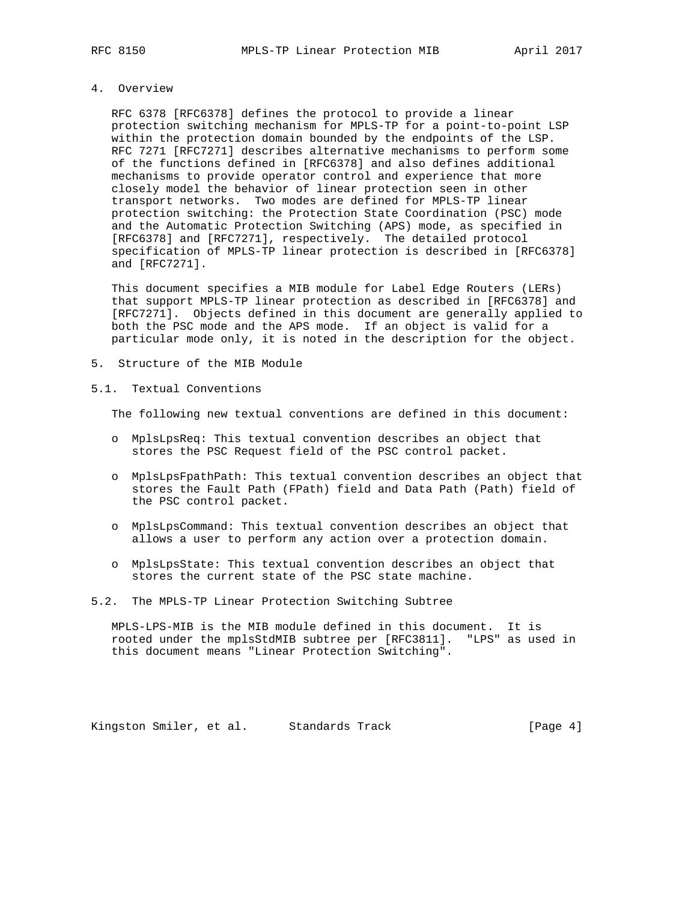## 4. Overview

 RFC 6378 [RFC6378] defines the protocol to provide a linear protection switching mechanism for MPLS-TP for a point-to-point LSP within the protection domain bounded by the endpoints of the LSP. RFC 7271 [RFC7271] describes alternative mechanisms to perform some of the functions defined in [RFC6378] and also defines additional mechanisms to provide operator control and experience that more closely model the behavior of linear protection seen in other transport networks. Two modes are defined for MPLS-TP linear protection switching: the Protection State Coordination (PSC) mode and the Automatic Protection Switching (APS) mode, as specified in [RFC6378] and [RFC7271], respectively. The detailed protocol specification of MPLS-TP linear protection is described in [RFC6378] and [RFC7271].

 This document specifies a MIB module for Label Edge Routers (LERs) that support MPLS-TP linear protection as described in [RFC6378] and [RFC7271]. Objects defined in this document are generally applied to both the PSC mode and the APS mode. If an object is valid for a particular mode only, it is noted in the description for the object.

- 5. Structure of the MIB Module
- 5.1. Textual Conventions

The following new textual conventions are defined in this document:

- o MplsLpsReq: This textual convention describes an object that stores the PSC Request field of the PSC control packet.
- o MplsLpsFpathPath: This textual convention describes an object that stores the Fault Path (FPath) field and Data Path (Path) field of the PSC control packet.
- o MplsLpsCommand: This textual convention describes an object that allows a user to perform any action over a protection domain.
- o MplsLpsState: This textual convention describes an object that stores the current state of the PSC state machine.
- 5.2. The MPLS-TP Linear Protection Switching Subtree

 MPLS-LPS-MIB is the MIB module defined in this document. It is rooted under the mplsStdMIB subtree per [RFC3811]. "LPS" as used in this document means "Linear Protection Switching".

Kingston Smiler, et al. Standards Track [Page 4]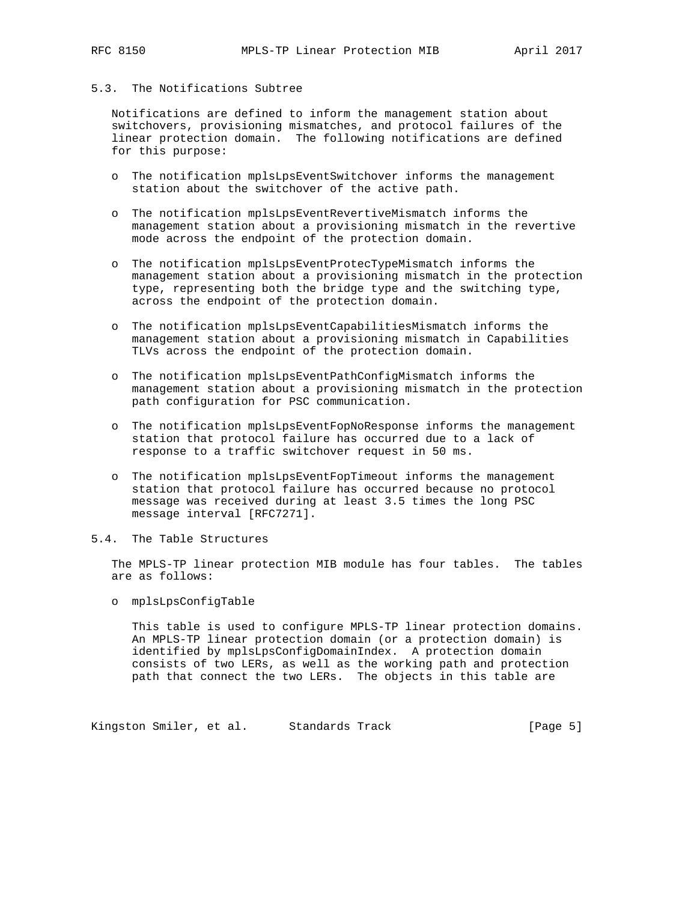# 5.3. The Notifications Subtree

 Notifications are defined to inform the management station about switchovers, provisioning mismatches, and protocol failures of the linear protection domain. The following notifications are defined for this purpose:

- o The notification mplsLpsEventSwitchover informs the management station about the switchover of the active path.
- o The notification mplsLpsEventRevertiveMismatch informs the management station about a provisioning mismatch in the revertive mode across the endpoint of the protection domain.
- o The notification mplsLpsEventProtecTypeMismatch informs the management station about a provisioning mismatch in the protection type, representing both the bridge type and the switching type, across the endpoint of the protection domain.
- o The notification mplsLpsEventCapabilitiesMismatch informs the management station about a provisioning mismatch in Capabilities TLVs across the endpoint of the protection domain.
- o The notification mplsLpsEventPathConfigMismatch informs the management station about a provisioning mismatch in the protection path configuration for PSC communication.
- o The notification mplsLpsEventFopNoResponse informs the management station that protocol failure has occurred due to a lack of response to a traffic switchover request in 50 ms.
- o The notification mplsLpsEventFopTimeout informs the management station that protocol failure has occurred because no protocol message was received during at least 3.5 times the long PSC message interval [RFC7271].
- 5.4. The Table Structures

 The MPLS-TP linear protection MIB module has four tables. The tables are as follows:

o mplsLpsConfigTable

 This table is used to configure MPLS-TP linear protection domains. An MPLS-TP linear protection domain (or a protection domain) is identified by mplsLpsConfigDomainIndex. A protection domain consists of two LERs, as well as the working path and protection path that connect the two LERs. The objects in this table are

Kingston Smiler, et al. Standards Track [Page 5]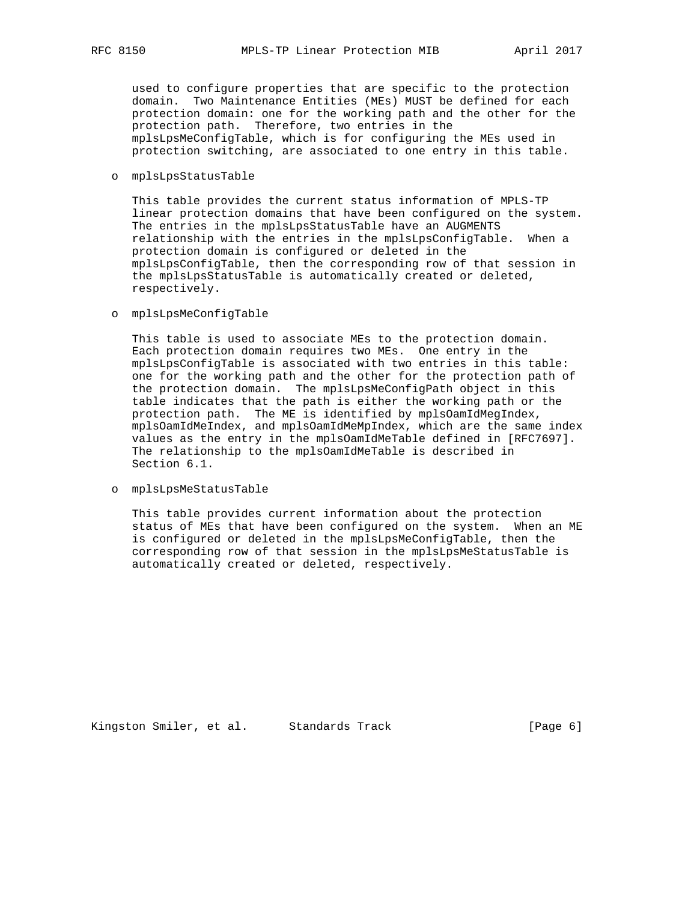used to configure properties that are specific to the protection domain. Two Maintenance Entities (MEs) MUST be defined for each protection domain: one for the working path and the other for the protection path. Therefore, two entries in the mplsLpsMeConfigTable, which is for configuring the MEs used in protection switching, are associated to one entry in this table.

#### o mplsLpsStatusTable

 This table provides the current status information of MPLS-TP linear protection domains that have been configured on the system. The entries in the mplsLpsStatusTable have an AUGMENTS relationship with the entries in the mplsLpsConfigTable. When a protection domain is configured or deleted in the mplsLpsConfigTable, then the corresponding row of that session in the mplsLpsStatusTable is automatically created or deleted, respectively.

### o mplsLpsMeConfigTable

 This table is used to associate MEs to the protection domain. Each protection domain requires two MEs. One entry in the mplsLpsConfigTable is associated with two entries in this table: one for the working path and the other for the protection path of the protection domain. The mplsLpsMeConfigPath object in this table indicates that the path is either the working path or the protection path. The ME is identified by mplsOamIdMegIndex, mplsOamIdMeIndex, and mplsOamIdMeMpIndex, which are the same index values as the entry in the mplsOamIdMeTable defined in [RFC7697]. The relationship to the mplsOamIdMeTable is described in Section 6.1.

#### o mplsLpsMeStatusTable

 This table provides current information about the protection status of MEs that have been configured on the system. When an ME is configured or deleted in the mplsLpsMeConfigTable, then the corresponding row of that session in the mplsLpsMeStatusTable is automatically created or deleted, respectively.

Kingston Smiler, et al. Standards Track [Page 6]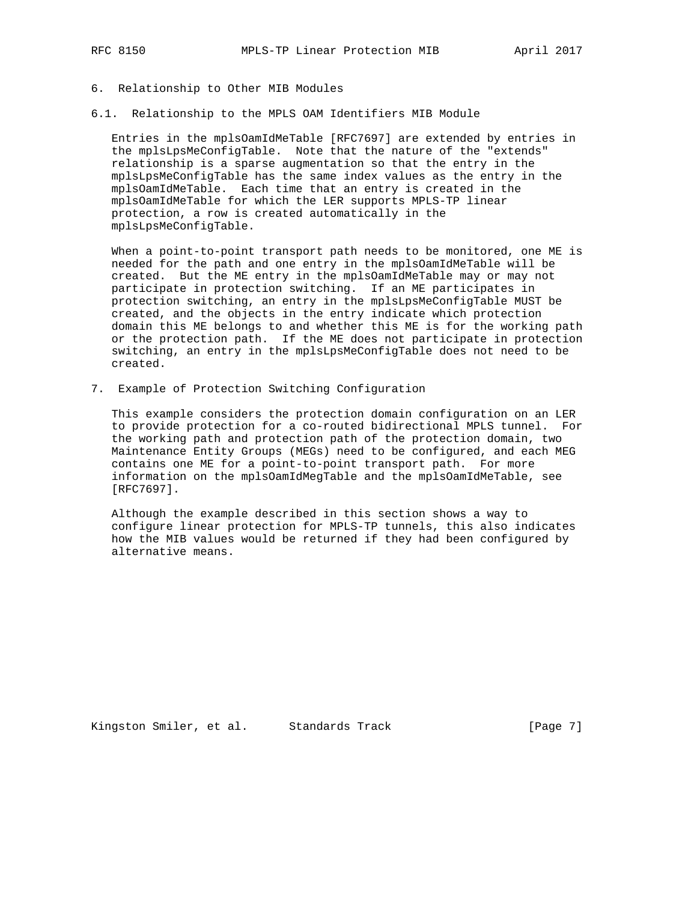- 6. Relationship to Other MIB Modules
- 6.1. Relationship to the MPLS OAM Identifiers MIB Module

 Entries in the mplsOamIdMeTable [RFC7697] are extended by entries in the mplsLpsMeConfigTable. Note that the nature of the "extends" relationship is a sparse augmentation so that the entry in the mplsLpsMeConfigTable has the same index values as the entry in the mplsOamIdMeTable. Each time that an entry is created in the mplsOamIdMeTable for which the LER supports MPLS-TP linear protection, a row is created automatically in the mplsLpsMeConfigTable.

 When a point-to-point transport path needs to be monitored, one ME is needed for the path and one entry in the mplsOamIdMeTable will be created. But the ME entry in the mplsOamIdMeTable may or may not participate in protection switching. If an ME participates in protection switching, an entry in the mplsLpsMeConfigTable MUST be created, and the objects in the entry indicate which protection domain this ME belongs to and whether this ME is for the working path or the protection path. If the ME does not participate in protection switching, an entry in the mplsLpsMeConfigTable does not need to be created.

7. Example of Protection Switching Configuration

 This example considers the protection domain configuration on an LER to provide protection for a co-routed bidirectional MPLS tunnel. For the working path and protection path of the protection domain, two Maintenance Entity Groups (MEGs) need to be configured, and each MEG contains one ME for a point-to-point transport path. For more information on the mplsOamIdMegTable and the mplsOamIdMeTable, see [RFC7697].

 Although the example described in this section shows a way to configure linear protection for MPLS-TP tunnels, this also indicates how the MIB values would be returned if they had been configured by alternative means.

Kingston Smiler, et al. Standards Track [Page 7]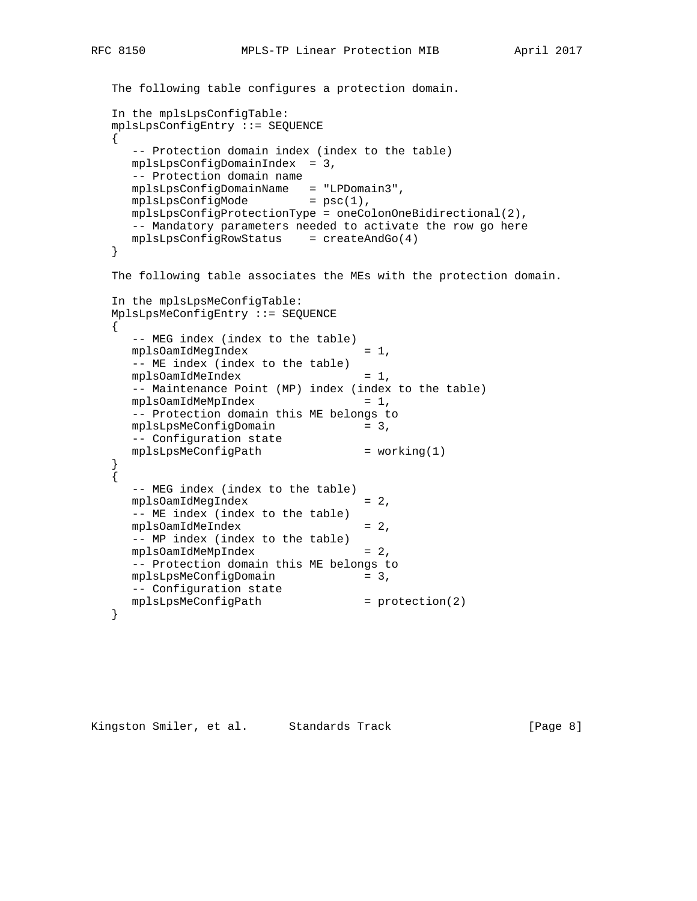```
 The following table configures a protection domain.
 In the mplsLpsConfigTable:
 mplsLpsConfigEntry ::= SEQUENCE
 {
   -- Protection domain index (index to the table)
   mplsLpsConfigDomainIndex = 3,
   -- Protection domain name
   mplsLpsConfigDomainName = "LPDomain3",
  mplsLpsConfigMode = psc(1),
   mplsLpsConfigProtectionType = oneColonOneBidirectional(2),
   -- Mandatory parameters needed to activate the row go here
   mplsLpsConfigRowStatus = createAndGo(4)
 }
 The following table associates the MEs with the protection domain.
 In the mplsLpsMeConfigTable:
 MplsLpsMeConfigEntry ::= SEQUENCE
\left\{ \right. -- MEG index (index to the table)
  mplsOamIdMeqIndex = 1,
   -- ME index (index to the table)
  mplsOamIdMelndex = 1,
   -- Maintenance Point (MP) index (index to the table)
  mplsOamIdMeMpIndex = 1,
   -- Protection domain this ME belongs to
  mplsLpsMeConfigDomain = 3,
   -- Configuration state
  mplsLpsMeConfigPath = working(1)
 }
 {
   -- MEG index (index to the table)
  mplsOamIdMeqIndex = 2,
```

```
Kingston Smiler, et al. Standards Track [Page 8]
```
 -- ME index (index to the table)  $mplsOamIdMelndex$  = 2, -- MP index (index to the table) mplsOamIdMeMpIndex = 2, -- Protection domain this ME belongs to

mplsLpsMeConfigDomain = 3,

mplsLpsMeConfigPath = protection(2)

-- Configuration state

}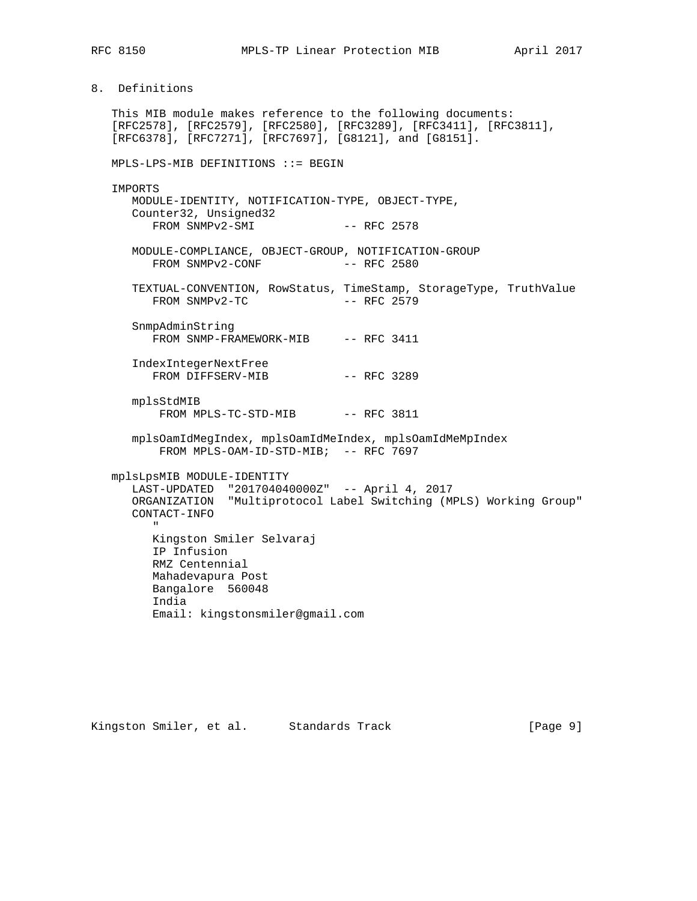8. Definitions

 This MIB module makes reference to the following documents: [RFC2578], [RFC2579], [RFC2580], [RFC3289], [RFC3411], [RFC3811], [RFC6378], [RFC7271], [RFC7697], [G8121], and [G8151].

MPLS-LPS-MIB DEFINITIONS ::= BEGIN

IMPORTS

 MODULE-IDENTITY, NOTIFICATION-TYPE, OBJECT-TYPE, Counter32, Unsigned32 FROM SNMPv2-SMI -- RFC 2578

 MODULE-COMPLIANCE, OBJECT-GROUP, NOTIFICATION-GROUP FROM SNMPv2-CONF -- RFC 2580

 TEXTUAL-CONVENTION, RowStatus, TimeStamp, StorageType, TruthValue  $FROM$  SNMP $v2-TC$   $-$  RFC 2579

 SnmpAdminString FROM SNMP-FRAMEWORK-MIB -- RFC 3411

 IndexIntegerNextFree FROM DIFFSERV-MIB -- RFC 3289

 mplsStdMIB FROM MPLS-TC-STD-MIB -- RFC 3811

 mplsOamIdMegIndex, mplsOamIdMeIndex, mplsOamIdMeMpIndex FROM MPLS-OAM-ID-STD-MIB; -- RFC 7697

mplsLpsMIB MODULE-IDENTITY

 LAST-UPDATED "201704040000Z" -- April 4, 2017 ORGANIZATION "Multiprotocol Label Switching (MPLS) Working Group" CONTACT-INFO " Kingston Smiler Selvaraj IP Infusion RMZ Centennial

> Mahadevapura Post Bangalore 560048 India Email: kingstonsmiler@gmail.com

Kingston Smiler, et al. Standards Track [Page 9]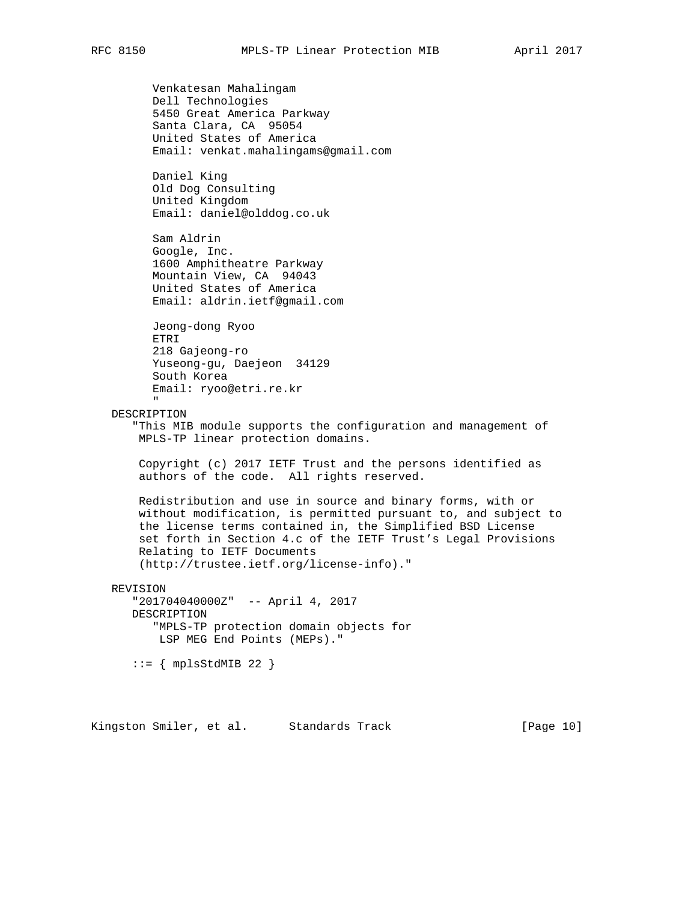Venkatesan Mahalingam Dell Technologies 5450 Great America Parkway Santa Clara, CA 95054 United States of America Email: venkat.mahalingams@gmail.com Daniel King Old Dog Consulting United Kingdom Email: daniel@olddog.co.uk Sam Aldrin Google, Inc. 1600 Amphitheatre Parkway Mountain View, CA 94043 United States of America Email: aldrin.ietf@gmail.com Jeong-dong Ryoo ETRI 218 Gajeong-ro Yuseong-gu, Daejeon 34129 South Korea Email: ryoo@etri.re.kr " DESCRIPTION "This MIB module supports the configuration and management of MPLS-TP linear protection domains. Copyright (c) 2017 IETF Trust and the persons identified as authors of the code. All rights reserved. Redistribution and use in source and binary forms, with or without modification, is permitted pursuant to, and subject to the license terms contained in, the Simplified BSD License set forth in Section 4.c of the IETF Trust's Legal Provisions Relating to IETF Documents (http://trustee.ietf.org/license-info)." REVISION "201704040000Z" -- April 4, 2017 DESCRIPTION "MPLS-TP protection domain objects for LSP MEG End Points (MEPs)."  $::=$   ${$  mplsStdMIB 22  $}$ 

Kingston Smiler, et al. Standards Track [Page 10]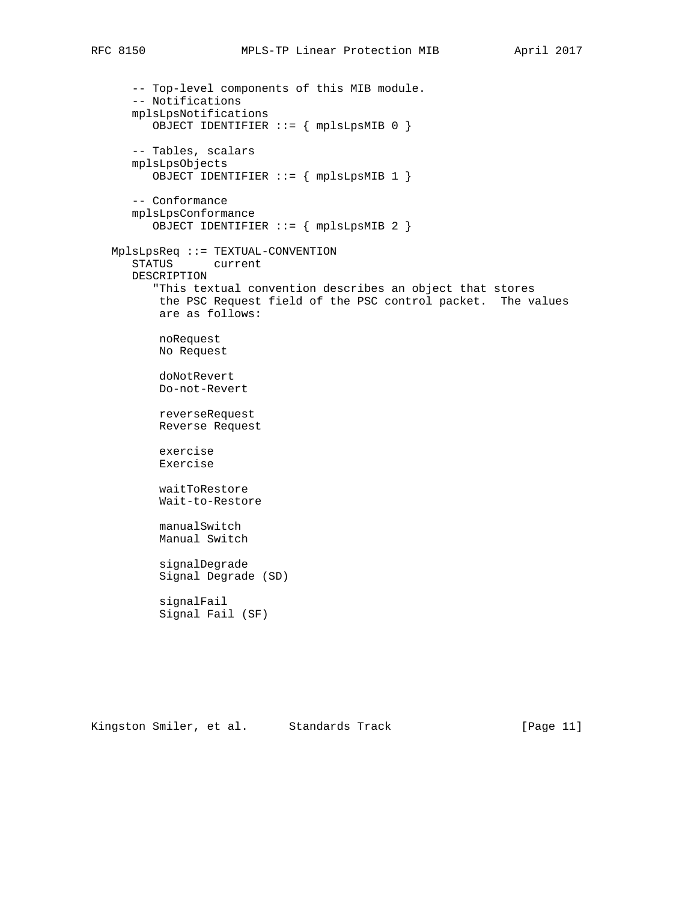```
 -- Top-level components of this MIB module.
    -- Notifications
   mplsLpsNotifications
       OBJECT IDENTIFIER ::= { mplsLpsMIB 0 }
    -- Tables, scalars
   mplsLpsObjects
       OBJECT IDENTIFIER ::= { mplsLpsMIB 1 }
    -- Conformance
   mplsLpsConformance
       OBJECT IDENTIFIER ::= { mplsLpsMIB 2 }
 MplsLpsReq ::= TEXTUAL-CONVENTION
    STATUS current
    DESCRIPTION
       "This textual convention describes an object that stores
       the PSC Request field of the PSC control packet. The values
       are as follows:
       noRequest
       No Request
        doNotRevert
        Do-not-Revert
        reverseRequest
        Reverse Request
        exercise
        Exercise
        waitToRestore
        Wait-to-Restore
        manualSwitch
        Manual Switch
        signalDegrade
        Signal Degrade (SD)
        signalFail
        Signal Fail (SF)
```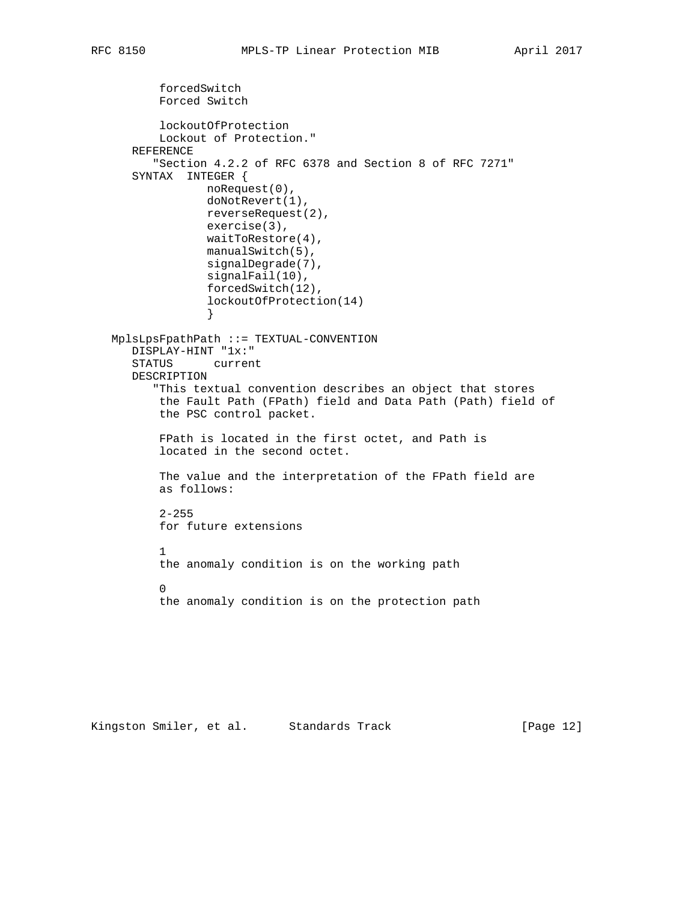```
 forcedSwitch
          Forced Switch
          lockoutOfProtection
          Lockout of Protection."
      REFERENCE
         "Section 4.2.2 of RFC 6378 and Section 8 of RFC 7271"
      SYNTAX INTEGER {
                 noRequest(0),
                 doNotRevert(1),
                 reverseRequest(2),
                 exercise(3),
                 waitToRestore(4),
                 manualSwitch(5),
                 signalDegrade(7),
                 signalFail(10),
                 forcedSwitch(12),
                 lockoutOfProtection(14)
 }
   MplsLpsFpathPath ::= TEXTUAL-CONVENTION
      DISPLAY-HINT "1x:"
      STATUS current
      DESCRIPTION
         "This textual convention describes an object that stores
          the Fault Path (FPath) field and Data Path (Path) field of
          the PSC control packet.
          FPath is located in the first octet, and Path is
          located in the second octet.
          The value and the interpretation of the FPath field are
          as follows:
         2 - 255 for future extensions
 1
          the anomaly condition is on the working path
 0
          the anomaly condition is on the protection path
```
Kingston Smiler, et al. Standards Track [Page 12]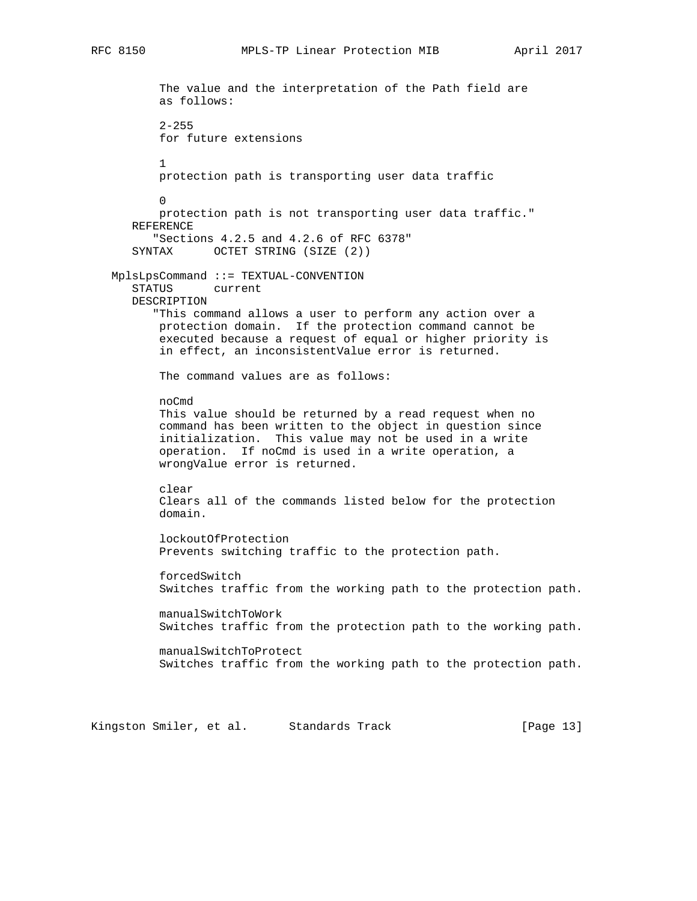```
 The value and the interpretation of the Path field are
          as follows:
         2 - 255 for future extensions
 1
          protection path is transporting user data traffic
 0
          protection path is not transporting user data traffic."
      REFERENCE
          "Sections 4.2.5 and 4.2.6 of RFC 6378"
      SYNTAX OCTET STRING (SIZE (2))
   MplsLpsCommand ::= TEXTUAL-CONVENTION
      STATUS current
      DESCRIPTION
          "This command allows a user to perform any action over a
          protection domain. If the protection command cannot be
          executed because a request of equal or higher priority is
          in effect, an inconsistentValue error is returned.
          The command values are as follows:
          noCmd
          This value should be returned by a read request when no
          command has been written to the object in question since
          initialization. This value may not be used in a write
          operation. If noCmd is used in a write operation, a
          wrongValue error is returned.
          clear
          Clears all of the commands listed below for the protection
          domain.
          lockoutOfProtection
          Prevents switching traffic to the protection path.
          forcedSwitch
          Switches traffic from the working path to the protection path.
          manualSwitchToWork
          Switches traffic from the protection path to the working path.
          manualSwitchToProtect
          Switches traffic from the working path to the protection path.
```
Kingston Smiler, et al. Standards Track [Page 13]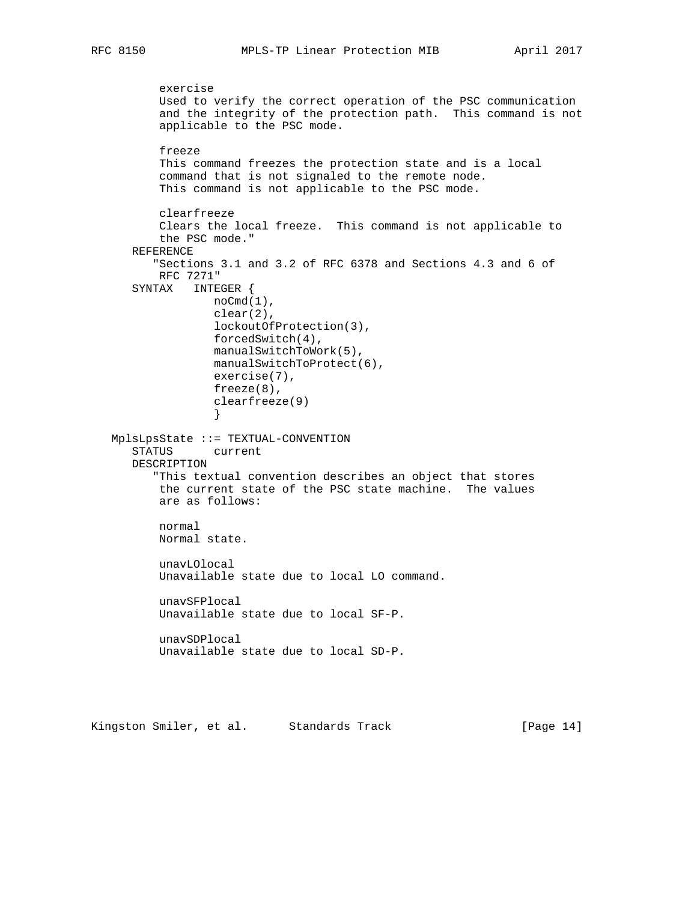```
 exercise
          Used to verify the correct operation of the PSC communication
          and the integrity of the protection path. This command is not
          applicable to the PSC mode.
          freeze
          This command freezes the protection state and is a local
          command that is not signaled to the remote node.
          This command is not applicable to the PSC mode.
          clearfreeze
          Clears the local freeze. This command is not applicable to
          the PSC mode."
      REFERENCE
          "Sections 3.1 and 3.2 of RFC 6378 and Sections 4.3 and 6 of
          RFC 7271"
      SYNTAX INTEGER {
                  noCmd(1),
                  clear(2),
                  lockoutOfProtection(3),
                  forcedSwitch(4),
                  manualSwitchToWork(5),
                  manualSwitchToProtect(6),
                  exercise(7),
                  freeze(8),
                   clearfreeze(9)
 }
   MplsLpsState ::= TEXTUAL-CONVENTION
      STATUS current
      DESCRIPTION
          "This textual convention describes an object that stores
          the current state of the PSC state machine. The values
          are as follows:
          normal
          Normal state.
          unavLOlocal
          Unavailable state due to local LO command.
          unavSFPlocal
          Unavailable state due to local SF-P.
          unavSDPlocal
          Unavailable state due to local SD-P.
```
Kingston Smiler, et al. Standards Track [Page 14]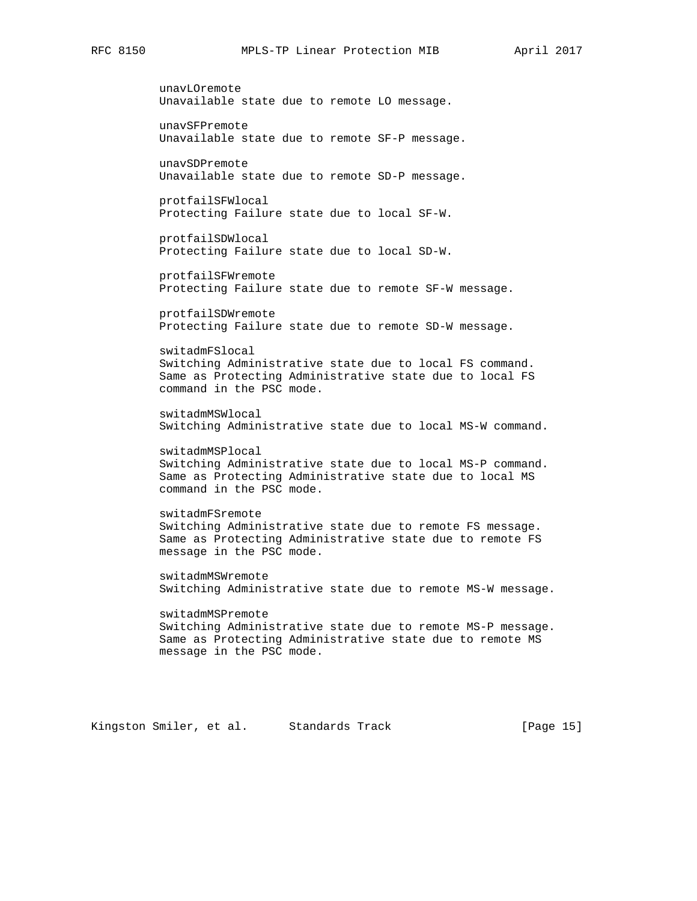unavLOremote Unavailable state due to remote LO message. unavSFPremote Unavailable state due to remote SF-P message. unavSDPremote Unavailable state due to remote SD-P message. protfailSFWlocal Protecting Failure state due to local SF-W. protfailSDWlocal Protecting Failure state due to local SD-W. protfailSFWremote Protecting Failure state due to remote SF-W message. protfailSDWremote Protecting Failure state due to remote SD-W message. switadmFSlocal Switching Administrative state due to local FS command. Same as Protecting Administrative state due to local FS command in the PSC mode. switadmMSWlocal Switching Administrative state due to local MS-W command. switadmMSPlocal Switching Administrative state due to local MS-P command. Same as Protecting Administrative state due to local MS command in the PSC mode. switadmFSremote Switching Administrative state due to remote FS message. Same as Protecting Administrative state due to remote FS message in the PSC mode. switadmMSWremote Switching Administrative state due to remote MS-W message. switadmMSPremote Switching Administrative state due to remote MS-P message. Same as Protecting Administrative state due to remote MS message in the PSC mode.

Kingston Smiler, et al. Standards Track [Page 15]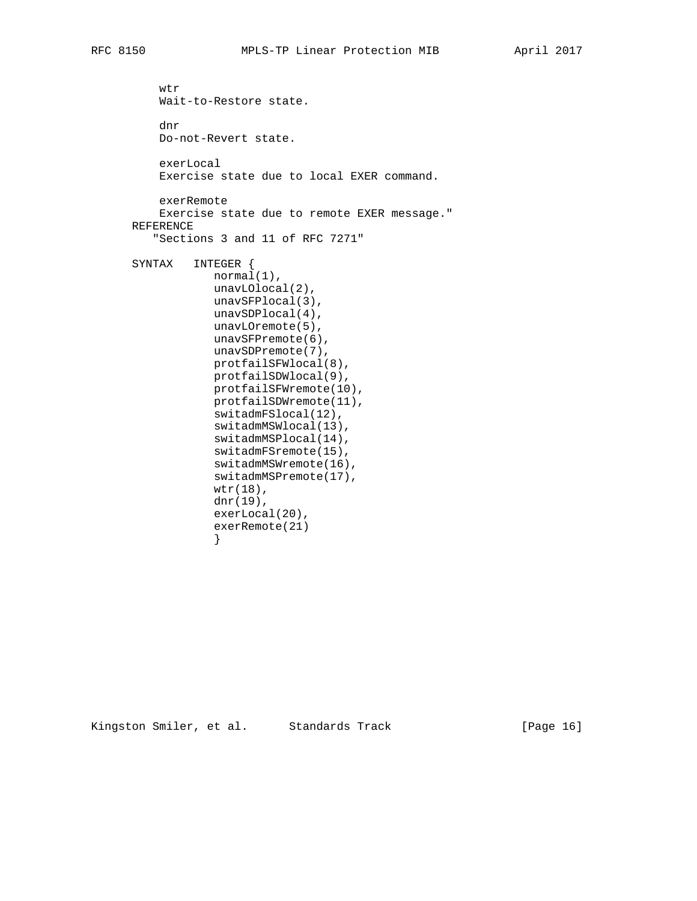```
 wtr
     Wait-to-Restore state.
     dnr
     Do-not-Revert state.
     exerLocal
     Exercise state due to local EXER command.
     exerRemote
     Exercise state due to remote EXER message."
 REFERENCE
    "Sections 3 and 11 of RFC 7271"
 SYNTAX INTEGER {
            normal(1),
             unavLOlocal(2),
             unavSFPlocal(3),
             unavSDPlocal(4),
             unavLOremote(5),
             unavSFPremote(6),
             unavSDPremote(7),
             protfailSFWlocal(8),
             protfailSDWlocal(9),
             protfailSFWremote(10),
             protfailSDWremote(11),
             switadmFSlocal(12),
             switadmMSWlocal(13),
             switadmMSPlocal(14),
             switadmFSremote(15),
             switadmMSWremote(16),
             switadmMSPremote(17),
             wtr(18),
             dnr(19),
             exerLocal(20),
             exerRemote(21)
```
Kingston Smiler, et al. Standards Track [Page 16]

}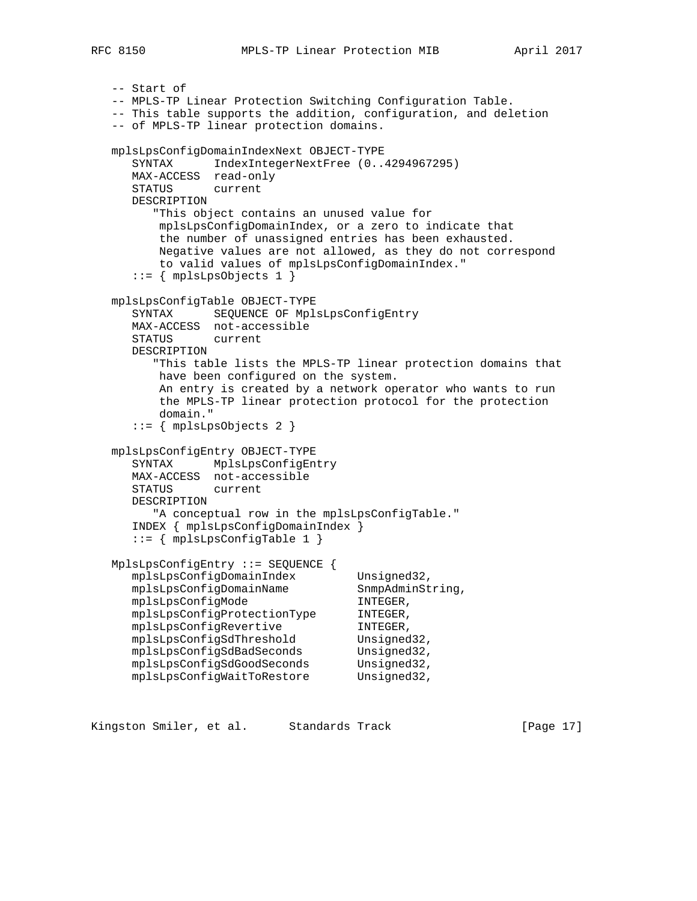```
 -- Start of
   -- MPLS-TP Linear Protection Switching Configuration Table.
   -- This table supports the addition, configuration, and deletion
   -- of MPLS-TP linear protection domains.
   mplsLpsConfigDomainIndexNext OBJECT-TYPE
      SYNTAX IndexIntegerNextFree (0..4294967295)
      MAX-ACCESS read-only
      STATUS current
      DESCRIPTION
         "This object contains an unused value for
         mplsLpsConfigDomainIndex, or a zero to indicate that
          the number of unassigned entries has been exhausted.
          Negative values are not allowed, as they do not correspond
          to valid values of mplsLpsConfigDomainIndex."
     ::= { mplsLpsObjects 1 }
   mplsLpsConfigTable OBJECT-TYPE
      SYNTAX SEQUENCE OF MplsLpsConfigEntry
      MAX-ACCESS not-accessible
      STATUS current
      DESCRIPTION
         "This table lists the MPLS-TP linear protection domains that
         have been configured on the system.
          An entry is created by a network operator who wants to run
          the MPLS-TP linear protection protocol for the protection
          domain."
      ::= { mplsLpsObjects 2 }
   mplsLpsConfigEntry OBJECT-TYPE
      SYNTAX MplsLpsConfigEntry
      MAX-ACCESS not-accessible
      STATUS current
      DESCRIPTION
        "A conceptual row in the mplsLpsConfigTable."
      INDEX { mplsLpsConfigDomainIndex }
      ::= { mplsLpsConfigTable 1 }
   MplsLpsConfigEntry ::= SEQUENCE {
mplsLpsConfigDomainIndex Unsigned32,
mplsLpsConfigDomainName SnmpAdminString,
mplsLpsConfigMode TNTEGER,
 mplsLpsConfigProtectionType INTEGER,
 mplsLpsConfigRevertive INTEGER,
mplsLpsConfigSdThreshold Unsigned32,
 mplsLpsConfigSdBadSeconds Unsigned32,
 mplsLpsConfigSdGoodSeconds Unsigned32,
mplsLpsConfigWaitToRestore Unsigned32,
```
Kingston Smiler, et al. Standards Track [Page 17]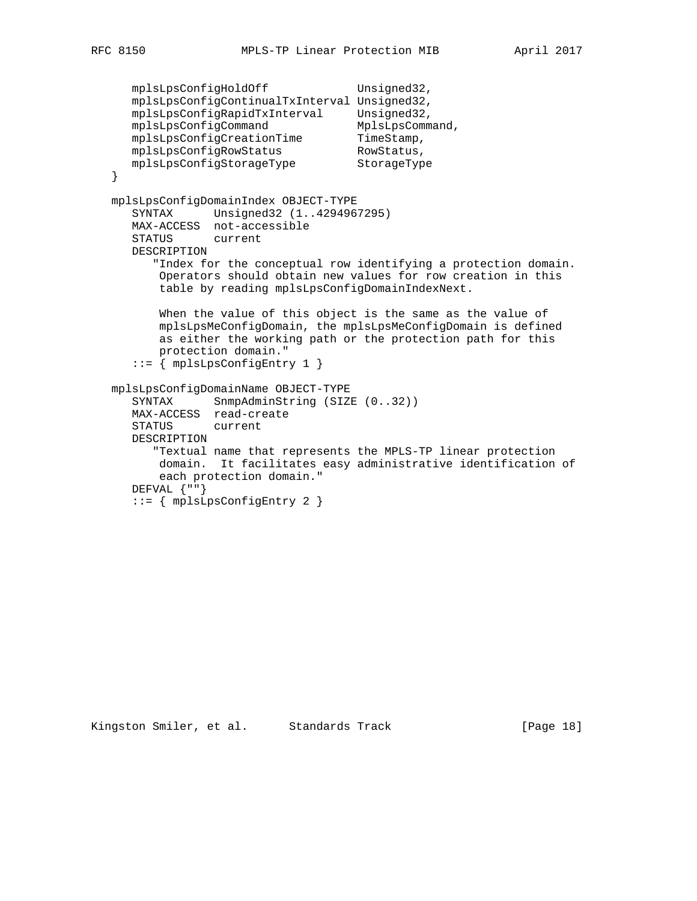```
mplsLpsConfigHoldOff Unsigned32,
      mplsLpsConfigContinualTxInterval Unsigned32,
 mplsLpsConfigRapidTxInterval Unsigned32,
mplsLpsConfigCommand MplsLpsCommand,
     mplsLpsConflgCommand<br>
mplsLpsConfigCreationTime TimeStamp,<br>
mplsLpsConfigRowStatus RowStatus,<br>
mplsLpsConfigStorageType StorageType
      mplsLpsConfigRowStatus RowStatus,
     mplsLpsConfigStorageType
   }
   mplsLpsConfigDomainIndex OBJECT-TYPE
      SYNTAX Unsigned32 (1..4294967295)
      MAX-ACCESS not-accessible
      STATUS current
      DESCRIPTION
          "Index for the conceptual row identifying a protection domain.
           Operators should obtain new values for row creation in this
           table by reading mplsLpsConfigDomainIndexNext.
           When the value of this object is the same as the value of
           mplsLpsMeConfigDomain, the mplsLpsMeConfigDomain is defined
           as either the working path or the protection path for this
           protection domain."
       ::= { mplsLpsConfigEntry 1 }
   mplsLpsConfigDomainName OBJECT-TYPE
SYNTAX SnmpAdminString (SIZE (0..32))
 MAX-ACCESS read-create
      STATUS current
      DESCRIPTION
          "Textual name that represents the MPLS-TP linear protection
           domain. It facilitates easy administrative identification of
           each protection domain."
       DEFVAL {""}
       ::= { mplsLpsConfigEntry 2 }
```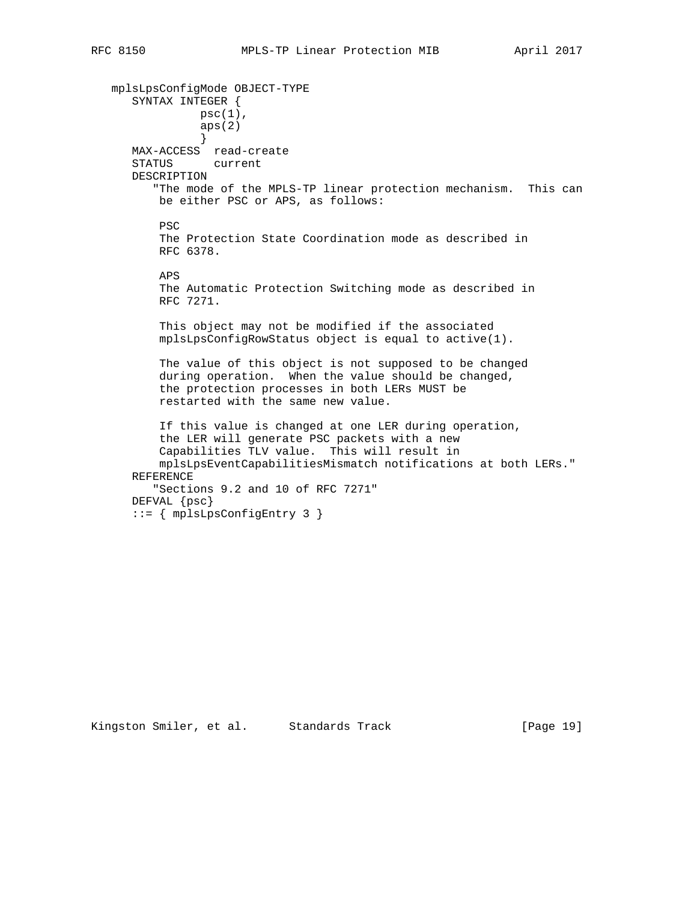mplsLpsConfigMode OBJECT-TYPE SYNTAX INTEGER {  $psc(1)$ , aps(2) } MAX-ACCESS read-create STATUS current DESCRIPTION "The mode of the MPLS-TP linear protection mechanism. This can be either PSC or APS, as follows: PSC The Protection State Coordination mode as described in RFC 6378. APS The Automatic Protection Switching mode as described in RFC 7271. This object may not be modified if the associated mplsLpsConfigRowStatus object is equal to active(1). The value of this object is not supposed to be changed during operation. When the value should be changed, the protection processes in both LERs MUST be restarted with the same new value. If this value is changed at one LER during operation, the LER will generate PSC packets with a new Capabilities TLV value. This will result in mplsLpsEventCapabilitiesMismatch notifications at both LERs." REFERENCE "Sections 9.2 and 10 of RFC 7271" DEFVAL {psc} ::= { mplsLpsConfigEntry 3 }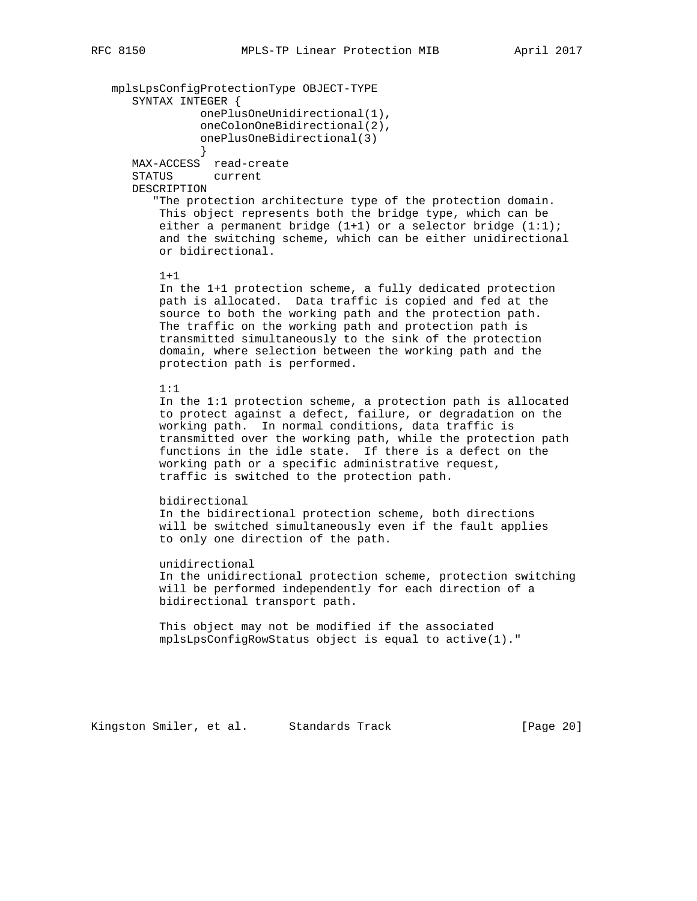mplsLpsConfigProtectionType OBJECT-TYPE

 SYNTAX INTEGER { onePlusOneUnidirectional(1), oneColonOneBidirectional(2), onePlusOneBidirectional(3) } MAX-ACCESS read-create STATUS current DESCRIPTION "The protection architecture type of the protection domain. This object represents both the bridge type, which can be either a permanent bridge (1+1) or a selector bridge (1:1); and the switching scheme, which can be either unidirectional or bidirectional.  $1+1$  In the 1+1 protection scheme, a fully dedicated protection path is allocated. Data traffic is copied and fed at the source to both the working path and the protection path. The traffic on the working path and protection path is transmitted simultaneously to the sink of the protection domain, where selection between the working path and the protection path is performed. 1:1 In the 1:1 protection scheme, a protection path is allocated to protect against a defect, failure, or degradation on the working path. In normal conditions, data traffic is transmitted over the working path, while the protection path functions in the idle state. If there is a defect on the working path or a specific administrative request, traffic is switched to the protection path. bidirectional In the bidirectional protection scheme, both directions will be switched simultaneously even if the fault applies to only one direction of the path. unidirectional In the unidirectional protection scheme, protection switching will be performed independently for each direction of a bidirectional transport path. This object may not be modified if the associated mplsLpsConfigRowStatus object is equal to active(1)."

Kingston Smiler, et al. Standards Track [Page 20]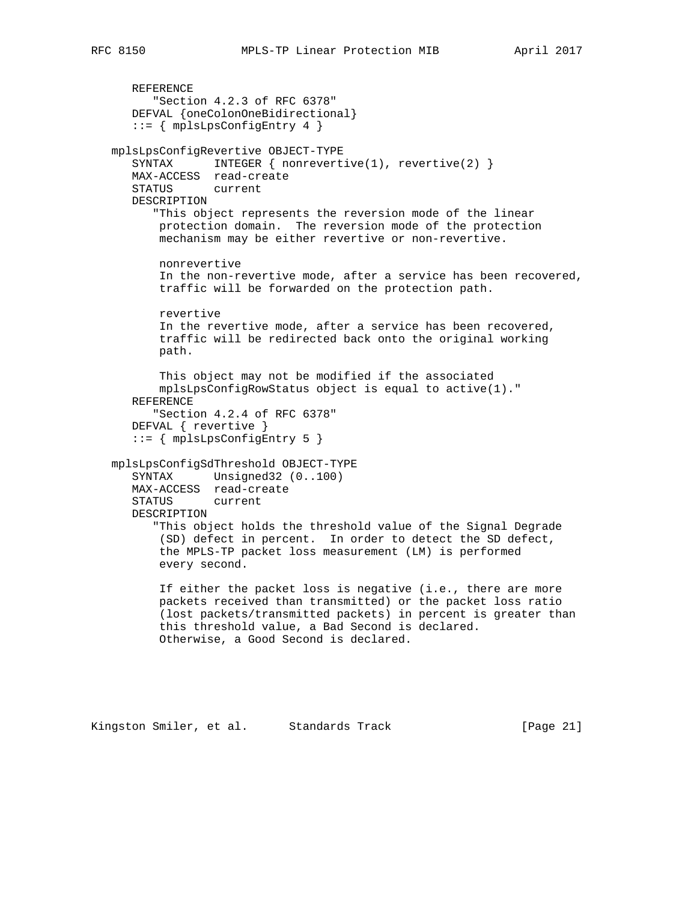```
 REFERENCE
       "Section 4.2.3 of RFC 6378"
    DEFVAL {oneColonOneBidirectional}
    ::= { mplsLpsConfigEntry 4 }
 mplsLpsConfigRevertive OBJECT-TYPE
   SYNTAX INTEGER { nonrevertive(1), revertive(2) }
    MAX-ACCESS read-create
    STATUS current
    DESCRIPTION
       "This object represents the reversion mode of the linear
        protection domain. The reversion mode of the protection
        mechanism may be either revertive or non-revertive.
        nonrevertive
        In the non-revertive mode, after a service has been recovered,
        traffic will be forwarded on the protection path.
        revertive
        In the revertive mode, after a service has been recovered,
        traffic will be redirected back onto the original working
        path.
        This object may not be modified if the associated
        mplsLpsConfigRowStatus object is equal to active(1)."
    REFERENCE
       "Section 4.2.4 of RFC 6378"
    DEFVAL { revertive }
    ::= { mplsLpsConfigEntry 5 }
 mplsLpsConfigSdThreshold OBJECT-TYPE
    SYNTAX Unsigned32 (0..100)
    MAX-ACCESS read-create
    STATUS current
    DESCRIPTION
       "This object holds the threshold value of the Signal Degrade
        (SD) defect in percent. In order to detect the SD defect,
        the MPLS-TP packet loss measurement (LM) is performed
        every second.
        If either the packet loss is negative (i.e., there are more
        packets received than transmitted) or the packet loss ratio
        (lost packets/transmitted packets) in percent is greater than
        this threshold value, a Bad Second is declared.
        Otherwise, a Good Second is declared.
```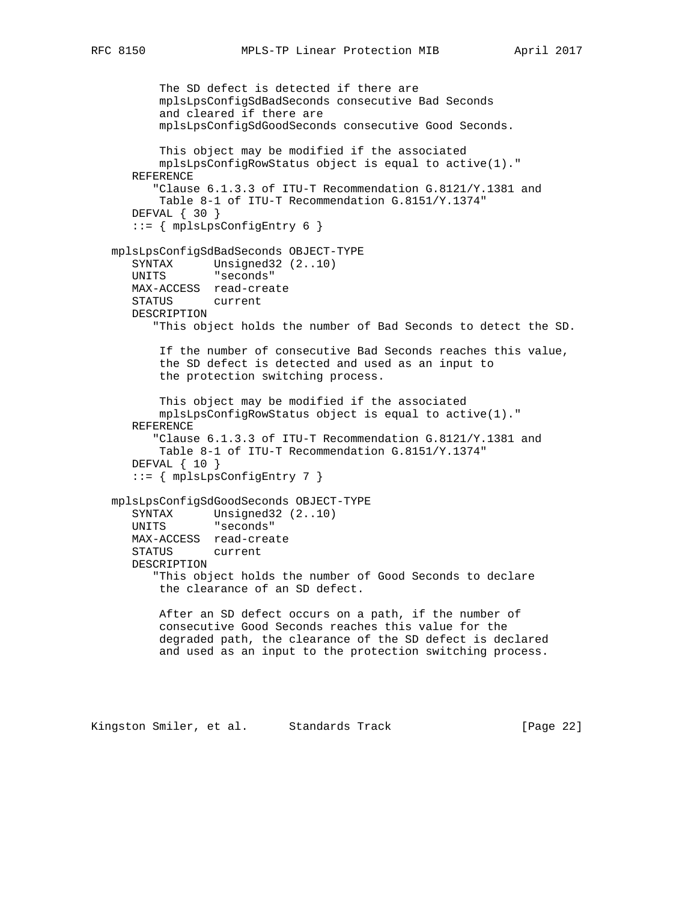```
 The SD defect is detected if there are
        mplsLpsConfigSdBadSeconds consecutive Bad Seconds
        and cleared if there are
        mplsLpsConfigSdGoodSeconds consecutive Good Seconds.
        This object may be modified if the associated
        mplsLpsConfigRowStatus object is equal to active(1)."
   REFERENCE
       "Clause 6.1.3.3 of ITU-T Recommendation G.8121/Y.1381 and
       Table 8-1 of ITU-T Recommendation G.8151/Y.1374"
   DEFVAL { 30 }
    ::= { mplsLpsConfigEntry 6 }
 mplsLpsConfigSdBadSeconds OBJECT-TYPE
    SYNTAX Unsigned32 (2..10)
   UNITS "seconds"
   MAX-ACCESS read-create
   STATUS current
   DESCRIPTION
       "This object holds the number of Bad Seconds to detect the SD.
       If the number of consecutive Bad Seconds reaches this value,
        the SD defect is detected and used as an input to
        the protection switching process.
        This object may be modified if the associated
        mplsLpsConfigRowStatus object is equal to active(1)."
    REFERENCE
       "Clause 6.1.3.3 of ITU-T Recommendation G.8121/Y.1381 and
        Table 8-1 of ITU-T Recommendation G.8151/Y.1374"
   DEFVAL \{ 10 \} ::= { mplsLpsConfigEntry 7 }
 mplsLpsConfigSdGoodSeconds OBJECT-TYPE
   SYNTAX Unsigned32 (2..10)
   UNITS "seconds"
   MAX-ACCESS read-create
    STATUS current
   DESCRIPTION
       "This object holds the number of Good Seconds to declare
        the clearance of an SD defect.
       After an SD defect occurs on a path, if the number of
        consecutive Good Seconds reaches this value for the
        degraded path, the clearance of the SD defect is declared
        and used as an input to the protection switching process.
```
Kingston Smiler, et al. Standards Track [Page 22]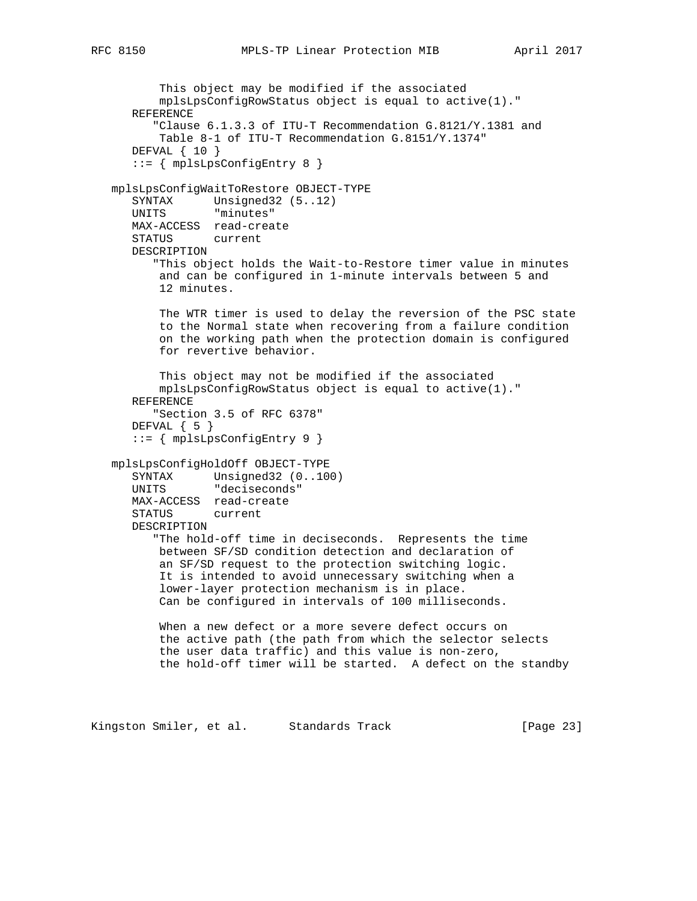This object may be modified if the associated

```
 mplsLpsConfigRowStatus object is equal to active(1)."
    REFERENCE
       "Clause 6.1.3.3 of ITU-T Recommendation G.8121/Y.1381 and
        Table 8-1 of ITU-T Recommendation G.8151/Y.1374"
    DEFVAL { 10 }
    ::= { mplsLpsConfigEntry 8 }
 mplsLpsConfigWaitToRestore OBJECT-TYPE
    SYNTAX Unsigned32 (5..12)
    UNITS "minutes"
   MAX-ACCESS read-create
    STATUS current
    DESCRIPTION
       "This object holds the Wait-to-Restore timer value in minutes
       and can be configured in 1-minute intervals between 5 and
        12 minutes.
       The WTR timer is used to delay the reversion of the PSC state
       to the Normal state when recovering from a failure condition
        on the working path when the protection domain is configured
        for revertive behavior.
       This object may not be modified if the associated
       mplsLpsConfigRowStatus object is equal to active(1)."
    REFERENCE
       "Section 3.5 of RFC 6378"
    DEFVAL { 5 }
    ::= { mplsLpsConfigEntry 9 }
 mplsLpsConfigHoldOff OBJECT-TYPE
  SYNTAX Unsigned32 (0..100)
    UNITS "deciseconds"
   MAX-ACCESS read-create
    STATUS current
    DESCRIPTION
       "The hold-off time in deciseconds. Represents the time
       between SF/SD condition detection and declaration of
        an SF/SD request to the protection switching logic.
        It is intended to avoid unnecessary switching when a
        lower-layer protection mechanism is in place.
        Can be configured in intervals of 100 milliseconds.
        When a new defect or a more severe defect occurs on
        the active path (the path from which the selector selects
        the user data traffic) and this value is non-zero,
        the hold-off timer will be started. A defect on the standby
```
Kingston Smiler, et al. Standards Track [Page 23]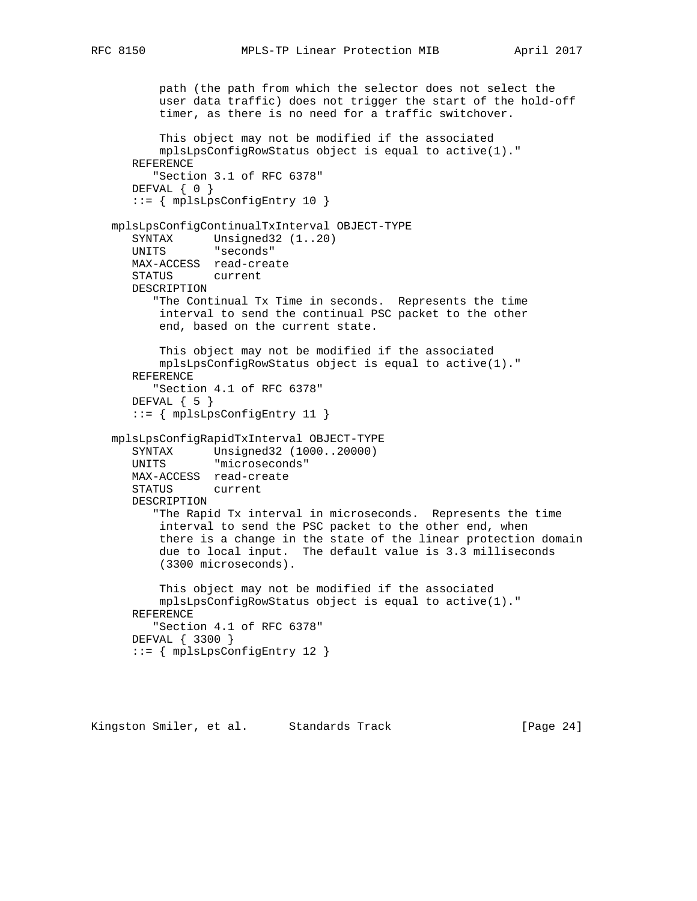```
 path (the path from which the selector does not select the
        user data traffic) does not trigger the start of the hold-off
        timer, as there is no need for a traffic switchover.
        This object may not be modified if the associated
       mplsLpsConfigRowStatus object is equal to active(1)."
    REFERENCE
       "Section 3.1 of RFC 6378"
   DEFVAL { 0 }
    ::= { mplsLpsConfigEntry 10 }
 mplsLpsConfigContinualTxInterval OBJECT-TYPE
   SYNTAX Unsigned32 (1..20)
    UNITS "seconds"
   MAX-ACCESS read-create
    STATUS current
    DESCRIPTION
       "The Continual Tx Time in seconds. Represents the time
       interval to send the continual PSC packet to the other
        end, based on the current state.
       This object may not be modified if the associated
       mplsLpsConfigRowStatus object is equal to active(1)."
    REFERENCE
       "Section 4.1 of RFC 6378"
   DEFVAL \{ 5 \} ::= { mplsLpsConfigEntry 11 }
 mplsLpsConfigRapidTxInterval OBJECT-TYPE
    SYNTAX Unsigned32 (1000..20000)
    UNITS "microseconds"
   MAX-ACCESS read-create
    STATUS current
    DESCRIPTION
       "The Rapid Tx interval in microseconds. Represents the time
       interval to send the PSC packet to the other end, when
        there is a change in the state of the linear protection domain
        due to local input. The default value is 3.3 milliseconds
        (3300 microseconds).
        This object may not be modified if the associated
       mplsLpsConfigRowStatus object is equal to active(1)."
    REFERENCE
       "Section 4.1 of RFC 6378"
    DEFVAL { 3300 }
    ::= { mplsLpsConfigEntry 12 }
```
Kingston Smiler, et al. Standards Track [Page 24]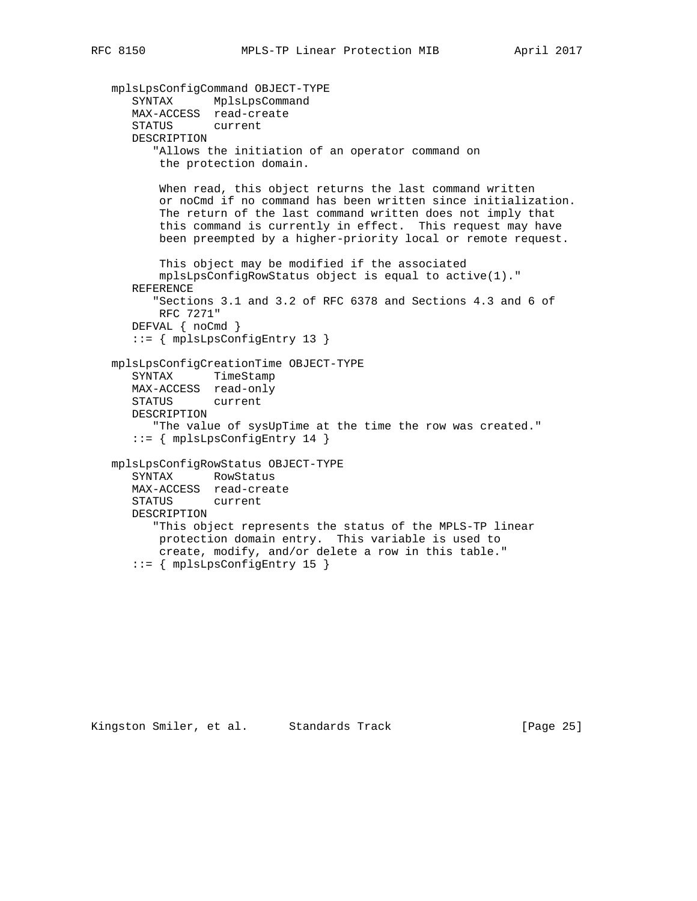```
 mplsLpsConfigCommand OBJECT-TYPE
 SYNTAX MplsLpsCommand
 MAX-ACCESS read-create
      STATUS current
      DESCRIPTION
         "Allows the initiation of an operator command on
          the protection domain.
         When read, this object returns the last command written
          or noCmd if no command has been written since initialization.
          The return of the last command written does not imply that
          this command is currently in effect. This request may have
          been preempted by a higher-priority local or remote request.
          This object may be modified if the associated
          mplsLpsConfigRowStatus object is equal to active(1)."
      REFERENCE
         "Sections 3.1 and 3.2 of RFC 6378 and Sections 4.3 and 6 of
          RFC 7271"
      DEFVAL { noCmd }
      ::= { mplsLpsConfigEntry 13 }
   mplsLpsConfigCreationTime OBJECT-TYPE
      SYNTAX TimeStamp
      MAX-ACCESS read-only
```
"The value of sysUpTime at the time the row was created."

 "This object represents the status of the MPLS-TP linear protection domain entry. This variable is used to create, modify, and/or delete a row in this table."

```
Kingston Smiler, et al. Standards Track [Page 25]
```
STATUS current

 SYNTAX RowStatus MAX-ACCESS read-create STATUS current

::= { mplsLpsConfigEntry 14 }

mplsLpsConfigRowStatus OBJECT-TYPE

::= { mplsLpsConfigEntry 15 }

DESCRIPTION

DESCRIPTION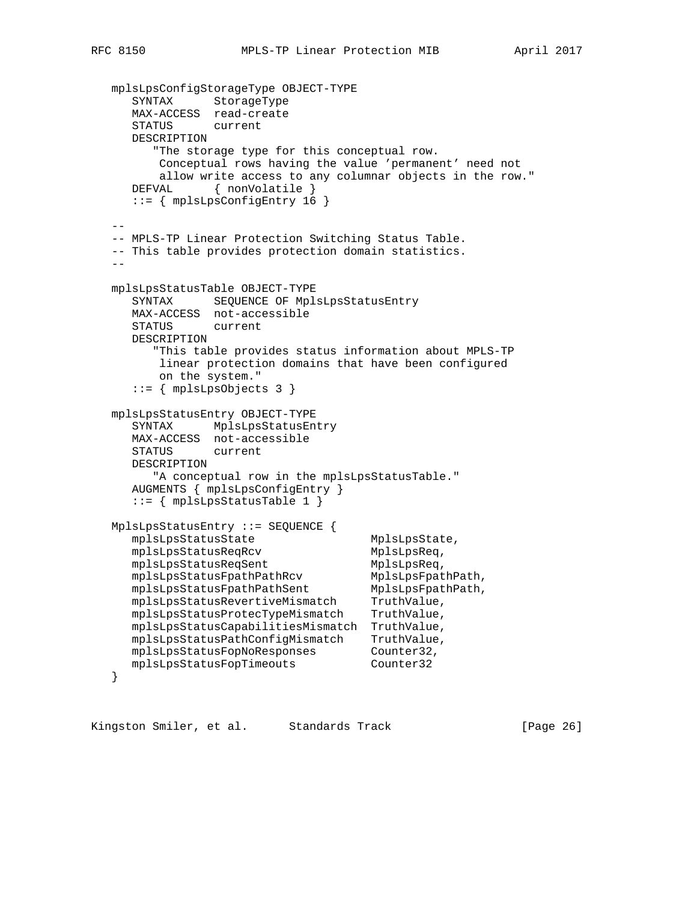```
 mplsLpsConfigStorageType OBJECT-TYPE
 SYNTAX StorageType
 MAX-ACCESS read-create
      STATUS current
      DESCRIPTION
         "The storage type for this conceptual row.
          Conceptual rows having the value 'permanent' need not
          allow write access to any columnar objects in the row."
     DEFVAL { nonVolatile }
      ::= { mplsLpsConfigEntry 16 }
- -- MPLS-TP Linear Protection Switching Status Table.
   -- This table provides protection domain statistics.
- mplsLpsStatusTable OBJECT-TYPE
      SYNTAX SEQUENCE OF MplsLpsStatusEntry
      MAX-ACCESS not-accessible
      STATUS current
      DESCRIPTION
         "This table provides status information about MPLS-TP
          linear protection domains that have been configured
          on the system."
      ::= { mplsLpsObjects 3 }
   mplsLpsStatusEntry OBJECT-TYPE
      SYNTAX MplsLpsStatusEntry
      MAX-ACCESS not-accessible
      STATUS current
      DESCRIPTION
        "A conceptual row in the mplsLpsStatusTable."
      AUGMENTS { mplsLpsConfigEntry }
      ::= { mplsLpsStatusTable 1 }
   MplsLpsStatusEntry ::= SEQUENCE {
     mplsLpsStatusState MplsLpsState,
     mplsLpsStatusReqRcv MplsLpsReq,
     mplsLpsStatusReqSent MplsLpsReq,
     mplsLpsStatusFpathPathRcv MplsLpsFpathPath,<br>mplsLpsStatusFpathPathSent MplsLpsFpathPath,
 mplsLpsStatusFpathPathSent MplsLpsFpathPath,
 mplsLpsStatusRevertiveMismatch TruthValue,
 mplsLpsStatusProtecTypeMismatch TruthValue,
 mplsLpsStatusCapabilitiesMismatch TruthValue,
      mplsLpsStatusPathConfigMismatch TruthValue,
     mplsLpsStatusFopNoResponses Counter32,<br>mplsLpsStatusFopTimeouts Counter32
     mplsLpsStatusFopTimeouts
   }
```
Kingston Smiler, et al. Standards Track [Page 26]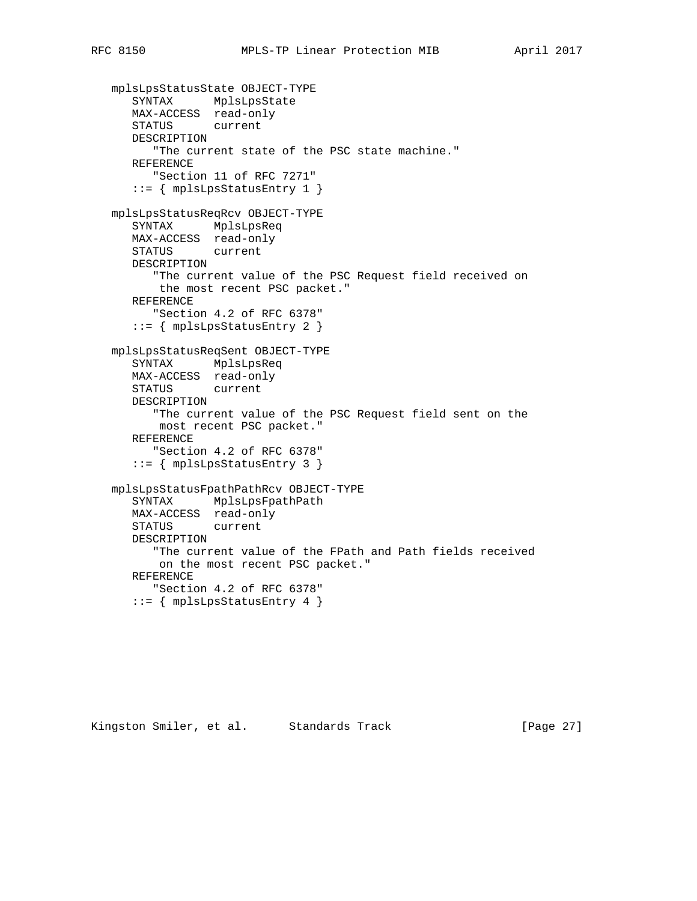```
 mplsLpsStatusState OBJECT-TYPE
 SYNTAX MplsLpsState
 MAX-ACCESS read-only
      STATUS current
      DESCRIPTION
         "The current state of the PSC state machine."
      REFERENCE
         "Section 11 of RFC 7271"
      ::= { mplsLpsStatusEntry 1 }
   mplsLpsStatusReqRcv OBJECT-TYPE
      SYNTAX MplsLpsReq
      MAX-ACCESS read-only
      STATUS current
      DESCRIPTION
         "The current value of the PSC Request field received on
          the most recent PSC packet."
      REFERENCE
         "Section 4.2 of RFC 6378"
      ::= { mplsLpsStatusEntry 2 }
   mplsLpsStatusReqSent OBJECT-TYPE
      SYNTAX MplsLpsReq
      MAX-ACCESS read-only
      STATUS current
      DESCRIPTION
         "The current value of the PSC Request field sent on the
          most recent PSC packet."
      REFERENCE
         "Section 4.2 of RFC 6378"
      ::= { mplsLpsStatusEntry 3 }
   mplsLpsStatusFpathPathRcv OBJECT-TYPE
      SYNTAX MplsLpsFpathPath
      MAX-ACCESS read-only
      STATUS current
      DESCRIPTION
         "The current value of the FPath and Path fields received
          on the most recent PSC packet."
      REFERENCE
         "Section 4.2 of RFC 6378"
      ::= { mplsLpsStatusEntry 4 }
```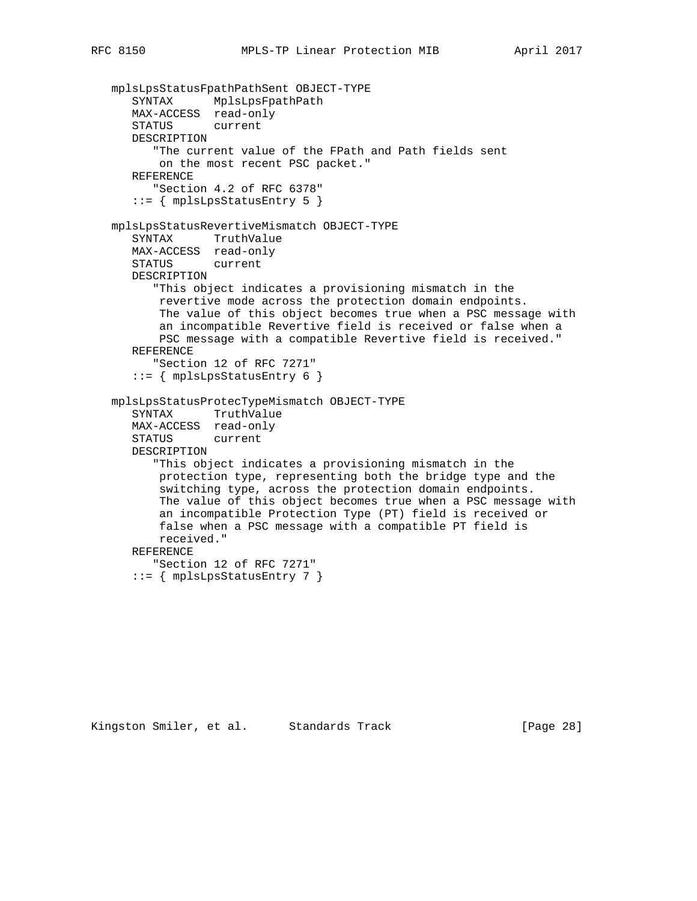```
 mplsLpsStatusFpathPathSent OBJECT-TYPE
 SYNTAX MplsLpsFpathPath
 MAX-ACCESS read-only
      STATUS current
      DESCRIPTION
          "The current value of the FPath and Path fields sent
          on the most recent PSC packet."
      REFERENCE
         "Section 4.2 of RFC 6378"
      ::= { mplsLpsStatusEntry 5 }
   mplsLpsStatusRevertiveMismatch OBJECT-TYPE
      SYNTAX TruthValue
      MAX-ACCESS read-only
      STATUS current
      DESCRIPTION
          "This object indicates a provisioning mismatch in the
          revertive mode across the protection domain endpoints.
          The value of this object becomes true when a PSC message with
          an incompatible Revertive field is received or false when a
          PSC message with a compatible Revertive field is received."
      REFERENCE
          "Section 12 of RFC 7271"
      ::= { mplsLpsStatusEntry 6 }
   mplsLpsStatusProtecTypeMismatch OBJECT-TYPE
      SYNTAX TruthValue
      MAX-ACCESS read-only
      STATUS current
      DESCRIPTION
          "This object indicates a provisioning mismatch in the
          protection type, representing both the bridge type and the
          switching type, across the protection domain endpoints.
          The value of this object becomes true when a PSC message with
          an incompatible Protection Type (PT) field is received or
          false when a PSC message with a compatible PT field is
          received."
      REFERENCE
         "Section 12 of RFC 7271"
      ::= { mplsLpsStatusEntry 7 }
```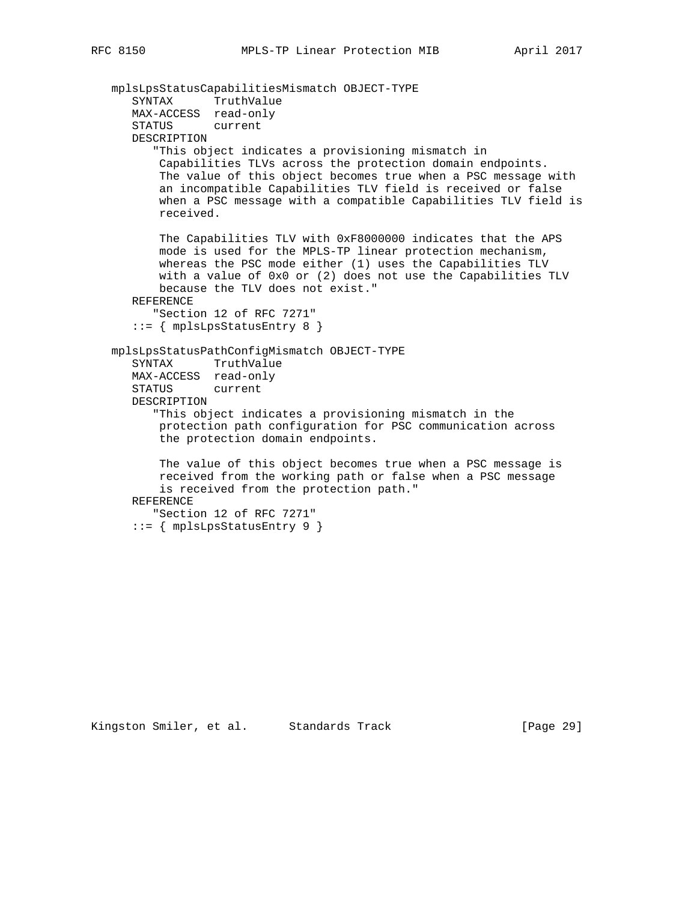```
 mplsLpsStatusCapabilitiesMismatch OBJECT-TYPE
 SYNTAX TruthValue
 MAX-ACCESS read-only
      STATUS current
      DESCRIPTION
          "This object indicates a provisioning mismatch in
          Capabilities TLVs across the protection domain endpoints.
          The value of this object becomes true when a PSC message with
          an incompatible Capabilities TLV field is received or false
          when a PSC message with a compatible Capabilities TLV field is
          received.
          The Capabilities TLV with 0xF8000000 indicates that the APS
          mode is used for the MPLS-TP linear protection mechanism,
          whereas the PSC mode either (1) uses the Capabilities TLV
          with a value of 0x0 or (2) does not use the Capabilities TLV
          because the TLV does not exist."
      REFERENCE
         "Section 12 of RFC 7271"
     ::= \{ mplsLpsStatusEntry 8 \} mplsLpsStatusPathConfigMismatch OBJECT-TYPE
      SYNTAX TruthValue
      MAX-ACCESS read-only
      STATUS current
      DESCRIPTION
          "This object indicates a provisioning mismatch in the
          protection path configuration for PSC communication across
          the protection domain endpoints.
          The value of this object becomes true when a PSC message is
          received from the working path or false when a PSC message
          is received from the protection path."
      REFERENCE
          "Section 12 of RFC 7271"
      ::= { mplsLpsStatusEntry 9 }
```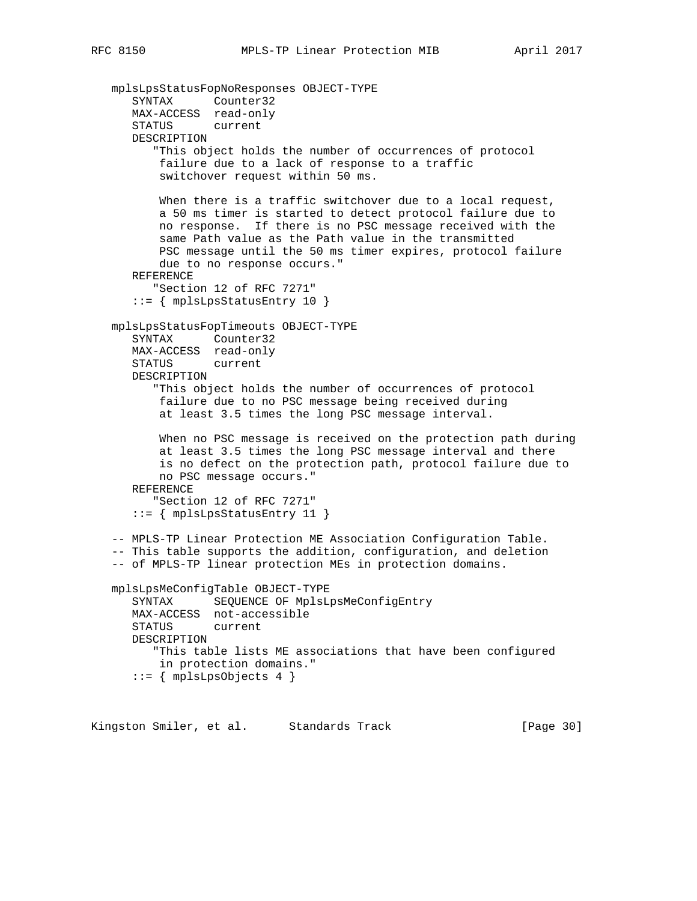```
 mplsLpsStatusFopNoResponses OBJECT-TYPE
 SYNTAX Counter32
 MAX-ACCESS read-only
      STATUS current
      DESCRIPTION
          "This object holds the number of occurrences of protocol
          failure due to a lack of response to a traffic
          switchover request within 50 ms.
         When there is a traffic switchover due to a local request,
          a 50 ms timer is started to detect protocol failure due to
          no response. If there is no PSC message received with the
          same Path value as the Path value in the transmitted
          PSC message until the 50 ms timer expires, protocol failure
          due to no response occurs."
      REFERENCE
         "Section 12 of RFC 7271"
      ::= { mplsLpsStatusEntry 10 }
   mplsLpsStatusFopTimeouts OBJECT-TYPE
      SYNTAX Counter32
      MAX-ACCESS read-only
      STATUS current
      DESCRIPTION
          "This object holds the number of occurrences of protocol
          failure due to no PSC message being received during
          at least 3.5 times the long PSC message interval.
          When no PSC message is received on the protection path during
          at least 3.5 times the long PSC message interval and there
          is no defect on the protection path, protocol failure due to
          no PSC message occurs."
      REFERENCE
          "Section 12 of RFC 7271"
     ::= \{ mplsLpsStatusEntry 11 \} -- MPLS-TP Linear Protection ME Association Configuration Table.
   -- This table supports the addition, configuration, and deletion
   -- of MPLS-TP linear protection MEs in protection domains.
   mplsLpsMeConfigTable OBJECT-TYPE
      SYNTAX SEQUENCE OF MplsLpsMeConfigEntry
      MAX-ACCESS not-accessible
     STATUS
      DESCRIPTION
          "This table lists ME associations that have been configured
          in protection domains."
     ::= { mplsLpsObjects 4 }
```
Kingston Smiler, et al. Standards Track [Page 30]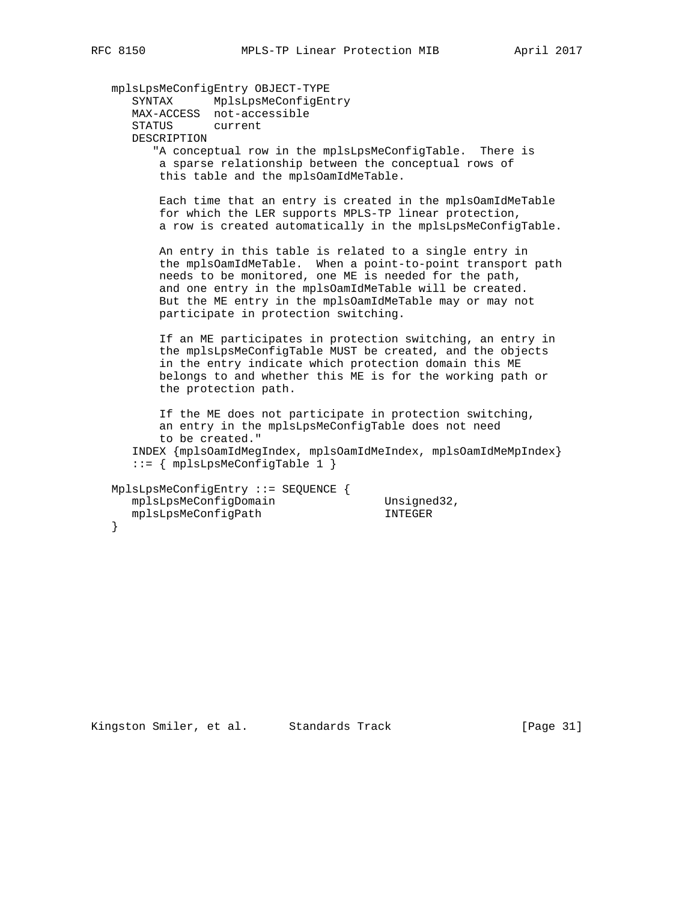```
 mplsLpsMeConfigEntry OBJECT-TYPE
 SYNTAX MplsLpsMeConfigEntry
 MAX-ACCESS not-accessible
      STATUS current
      DESCRIPTION
         "A conceptual row in the mplsLpsMeConfigTable. There is
          a sparse relationship between the conceptual rows of
          this table and the mplsOamIdMeTable.
          Each time that an entry is created in the mplsOamIdMeTable
          for which the LER supports MPLS-TP linear protection,
          a row is created automatically in the mplsLpsMeConfigTable.
          An entry in this table is related to a single entry in
 the mplsOamIdMeTable. When a point-to-point transport path
 needs to be monitored, one ME is needed for the path,
          and one entry in the mplsOamIdMeTable will be created.
          But the ME entry in the mplsOamIdMeTable may or may not
          participate in protection switching.
          If an ME participates in protection switching, an entry in
          the mplsLpsMeConfigTable MUST be created, and the objects
          in the entry indicate which protection domain this ME
          belongs to and whether this ME is for the working path or
          the protection path.
          If the ME does not participate in protection switching,
          an entry in the mplsLpsMeConfigTable does not need
          to be created."
      INDEX {mplsOamIdMegIndex, mplsOamIdMeIndex, mplsOamIdMeMpIndex}
      ::= { mplsLpsMeConfigTable 1 }
   MplsLpsMeConfigEntry ::= SEQUENCE {
mplsLpsMeConfigDomain Unsigned32,
 mplsLpsMeConfigPath INTEGER
```
Kingston Smiler, et al. Standards Track [Page 31]

}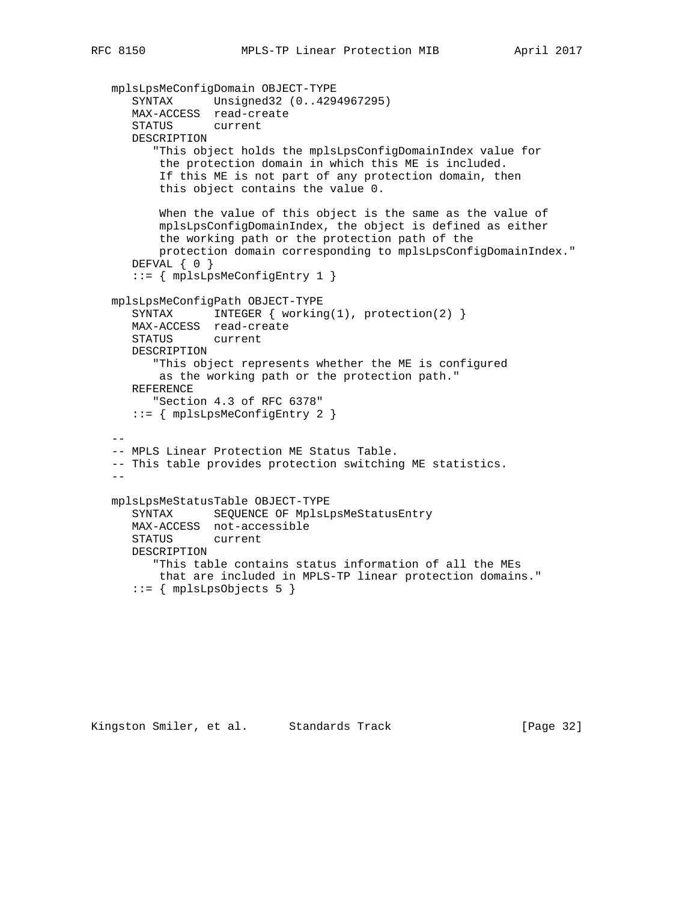```
 mplsLpsMeConfigDomain OBJECT-TYPE
 SYNTAX Unsigned32 (0..4294967295)
 MAX-ACCESS read-create
      STATUS current
      DESCRIPTION
         "This object holds the mplsLpsConfigDomainIndex value for
          the protection domain in which this ME is included.
          If this ME is not part of any protection domain, then
          this object contains the value 0.
          When the value of this object is the same as the value of
          mplsLpsConfigDomainIndex, the object is defined as either
          the working path or the protection path of the
          protection domain corresponding to mplsLpsConfigDomainIndex."
      DEFVAL { 0 }
      ::= { mplsLpsMeConfigEntry 1 }
   mplsLpsMeConfigPath OBJECT-TYPE
     SYNTAX INTEGER { working(1), protection(2) }
      MAX-ACCESS read-create
      STATUS current
      DESCRIPTION
         "This object represents whether the ME is configured
          as the working path or the protection path."
      REFERENCE
         "Section 4.3 of RFC 6378"
      ::= { mplsLpsMeConfigEntry 2 }
  - - -- MPLS Linear Protection ME Status Table.
   -- This table provides protection switching ME statistics.
  -- mplsLpsMeStatusTable OBJECT-TYPE
      SYNTAX SEQUENCE OF MplsLpsMeStatusEntry
      MAX-ACCESS not-accessible
      STATUS current
      DESCRIPTION
         "This table contains status information of all the MEs
          that are included in MPLS-TP linear protection domains."
```

```
::= { mplsLpsObjects 5 }
```
Kingston Smiler, et al. Standards Track [Page 32]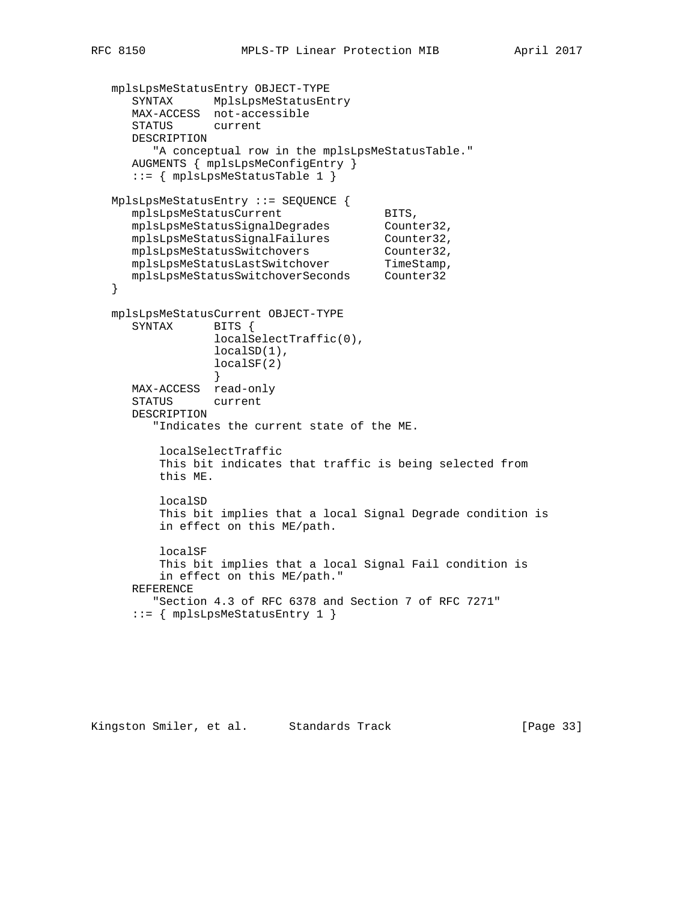```
 mplsLpsMeStatusEntry OBJECT-TYPE
 SYNTAX MplsLpsMeStatusEntry
 MAX-ACCESS not-accessible
```

```
 STATUS current
      DESCRIPTION
        "A conceptual row in the mplsLpsMeStatusTable."
      AUGMENTS { mplsLpsMeConfigEntry }
      ::= { mplsLpsMeStatusTable 1 }
   MplsLpsMeStatusEntry ::= SEQUENCE {
     mplsLpsMeStatusCurrent BITS,<br>mplsLpsMeStatusSiqnalDeqrades Counter32,
 mplsLpsMeStatusSignalDegrades Counter32,
mplsLpsMeStatusSignalFailures Counter32,
mplsLpsMeStatusSwitchovers Counter32,
mplsLpsMeStatusLastSwitchover TimeStamp,
 mplsLpsMeStatusSwitchoverSeconds Counter32
   }
   mplsLpsMeStatusCurrent OBJECT-TYPE
      SYNTAX BITS {
                  localSelectTraffic(0),
                  localSD(1),
                 localSF(2)
 }
     MAX-ACCESS read-only
      STATUS current
      DESCRIPTION
         "Indicates the current state of the ME.
          localSelectTraffic
          This bit indicates that traffic is being selected from
          this ME.
          localSD
          This bit implies that a local Signal Degrade condition is
          in effect on this ME/path.
          localSF
          This bit implies that a local Signal Fail condition is
          in effect on this ME/path."
      REFERENCE
         "Section 4.3 of RFC 6378 and Section 7 of RFC 7271"
      ::= { mplsLpsMeStatusEntry 1 }
```
Kingston Smiler, et al. Standards Track [Page 33]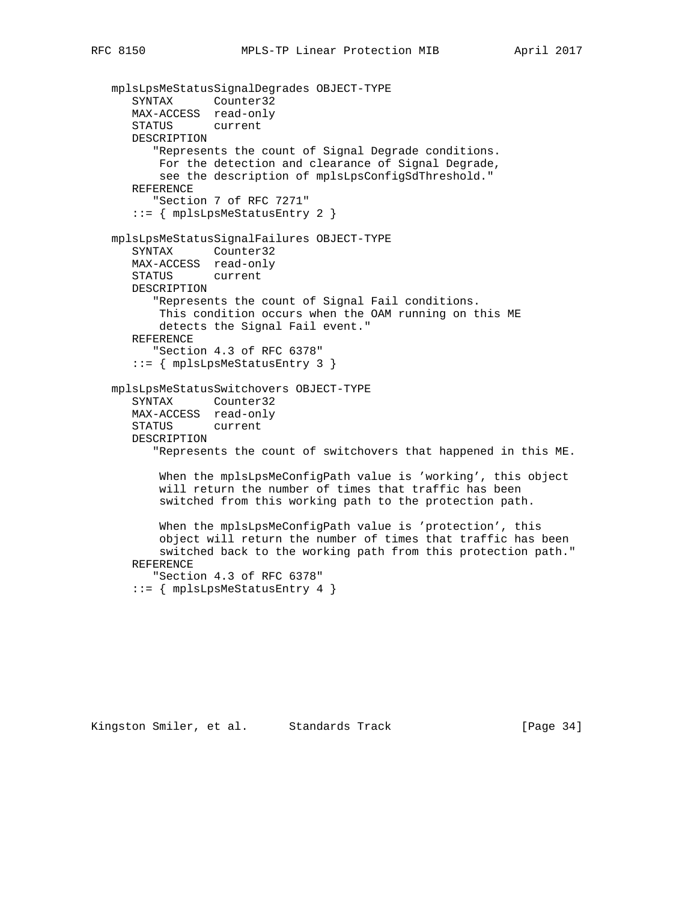```
 mplsLpsMeStatusSignalDegrades OBJECT-TYPE
    SYNTAX Counter32
   MAX-ACCESS read-only
   STATUS current
   DESCRIPTION
       "Represents the count of Signal Degrade conditions.
       For the detection and clearance of Signal Degrade,
       see the description of mplsLpsConfigSdThreshold."
    REFERENCE
       "Section 7 of RFC 7271"
    ::= { mplsLpsMeStatusEntry 2 }
 mplsLpsMeStatusSignalFailures OBJECT-TYPE
    SYNTAX Counter32
   MAX-ACCESS read-only
    STATUS current
   DESCRIPTION
       "Represents the count of Signal Fail conditions.
       This condition occurs when the OAM running on this ME
       detects the Signal Fail event."
   REFERENCE
       "Section 4.3 of RFC 6378"
    ::= { mplsLpsMeStatusEntry 3 }
 mplsLpsMeStatusSwitchovers OBJECT-TYPE
    SYNTAX Counter32
   MAX-ACCESS read-only
   STATUS current
   DESCRIPTION
       "Represents the count of switchovers that happened in this ME.
        When the mplsLpsMeConfigPath value is 'working', this object
        will return the number of times that traffic has been
        switched from this working path to the protection path.
        When the mplsLpsMeConfigPath value is 'protection', this
        object will return the number of times that traffic has been
        switched back to the working path from this protection path."
   REFERENCE
       "Section 4.3 of RFC 6378"
    ::= { mplsLpsMeStatusEntry 4 }
```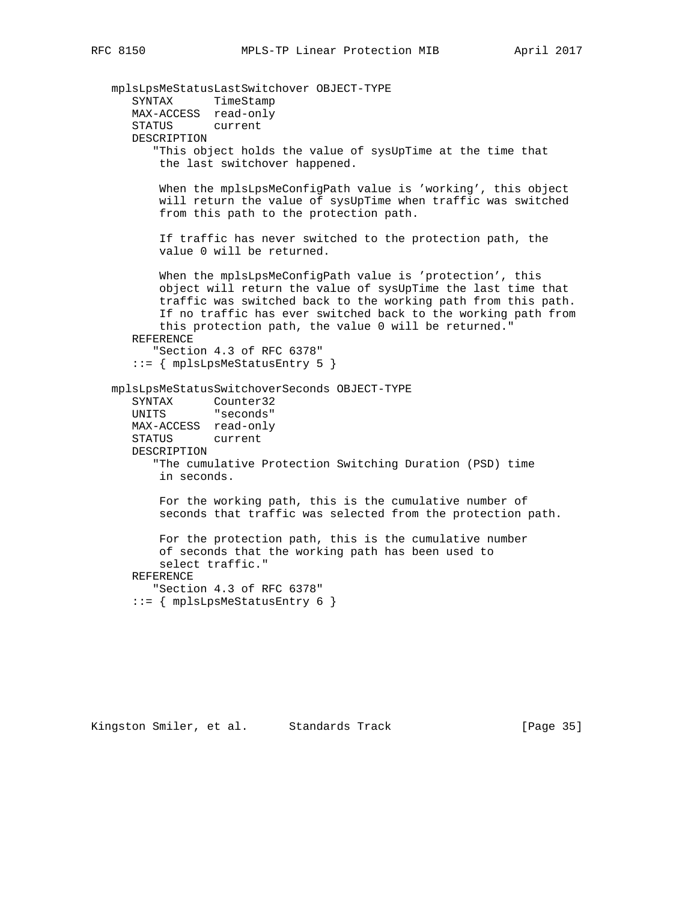mplsLpsMeStatusLastSwitchover OBJECT-TYPE SYNTAX TimeStamp MAX-ACCESS read-only STATUS current DESCRIPTION "This object holds the value of sysUpTime at the time that the last switchover happened. When the mplsLpsMeConfigPath value is 'working', this object will return the value of sysUpTime when traffic was switched from this path to the protection path. If traffic has never switched to the protection path, the value 0 will be returned. When the mplsLpsMeConfigPath value is 'protection', this object will return the value of sysUpTime the last time that traffic was switched back to the working path from this path. If no traffic has ever switched back to the working path from this protection path, the value 0 will be returned." REFERENCE "Section 4.3 of RFC 6378" ::= { mplsLpsMeStatusEntry 5 } mplsLpsMeStatusSwitchoverSeconds OBJECT-TYPE SYNTAX Counter32 UNITS "seconds" MAX-ACCESS read-only STATUS current DESCRIPTION "The cumulative Protection Switching Duration (PSD) time in seconds. For the working path, this is the cumulative number of seconds that traffic was selected from the protection path. For the protection path, this is the cumulative number of seconds that the working path has been used to select traffic." REFERENCE "Section 4.3 of RFC 6378" ::= { mplsLpsMeStatusEntry 6 }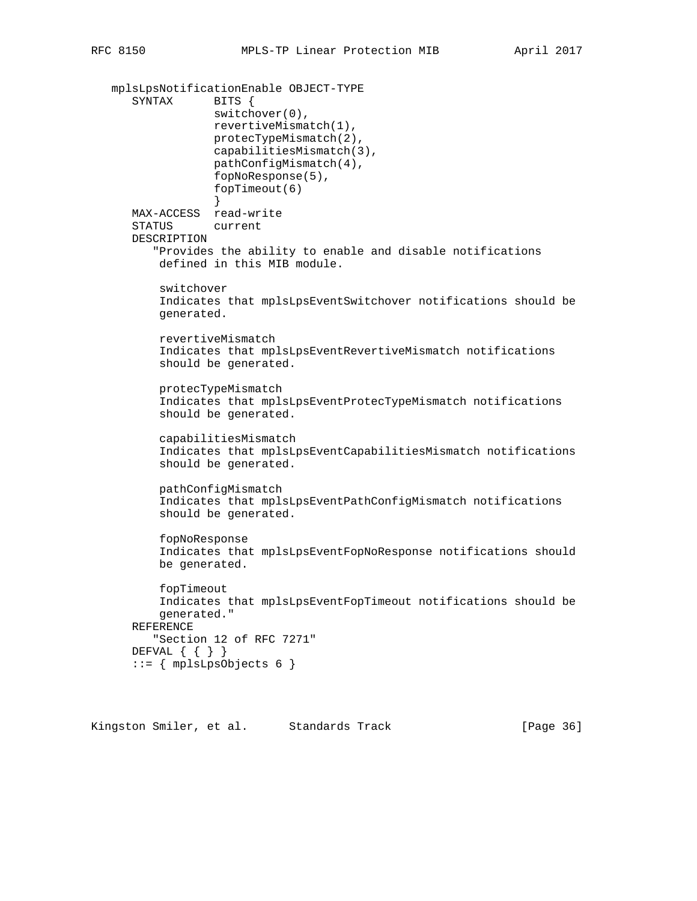```
 mplsLpsNotificationEnable OBJECT-TYPE
      SYNTAX BITS {
                   switchover(0),
                  revertiveMismatch(1),
                  protecTypeMismatch(2),
                   capabilitiesMismatch(3),
                  pathConfigMismatch(4),
                   fopNoResponse(5),
                   fopTimeout(6)
 }
      MAX-ACCESS read-write
      STATUS current
      DESCRIPTION
          "Provides the ability to enable and disable notifications
          defined in this MIB module.
          switchover
          Indicates that mplsLpsEventSwitchover notifications should be
          generated.
          revertiveMismatch
          Indicates that mplsLpsEventRevertiveMismatch notifications
          should be generated.
          protecTypeMismatch
          Indicates that mplsLpsEventProtecTypeMismatch notifications
          should be generated.
          capabilitiesMismatch
          Indicates that mplsLpsEventCapabilitiesMismatch notifications
          should be generated.
          pathConfigMismatch
          Indicates that mplsLpsEventPathConfigMismatch notifications
          should be generated.
          fopNoResponse
           Indicates that mplsLpsEventFopNoResponse notifications should
          be generated.
          fopTimeout
          Indicates that mplsLpsEventFopTimeout notifications should be
          generated."
      REFERENCE
          "Section 12 of RFC 7271"
      DEFVAL { { } }
     ::= { mplsLpsObjects 6 { }
```
Kingston Smiler, et al. Standards Track [Page 36]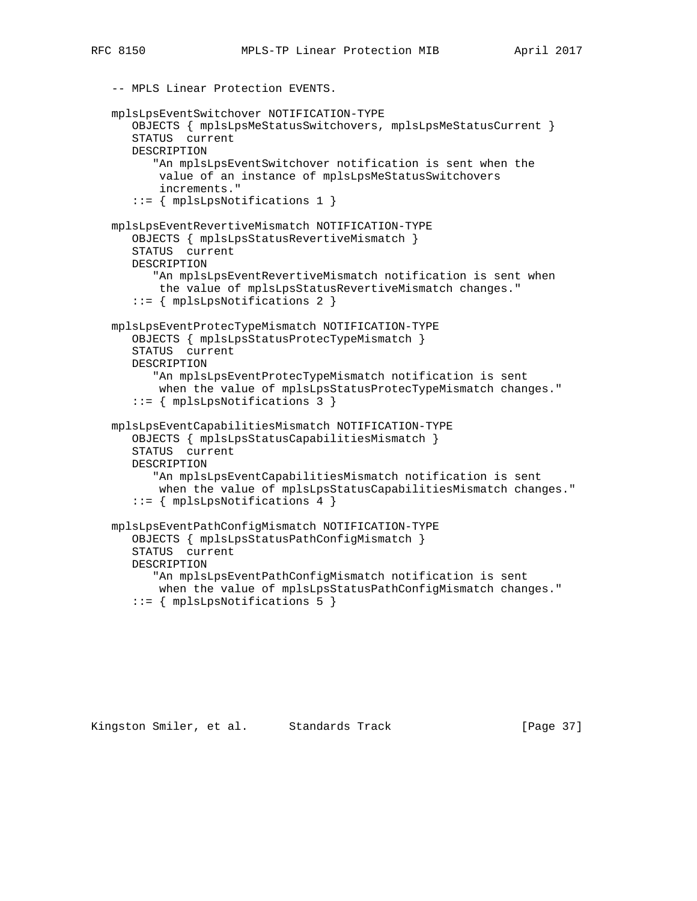-- MPLS Linear Protection EVENTS.

```
 mplsLpsEventSwitchover NOTIFICATION-TYPE
    OBJECTS { mplsLpsMeStatusSwitchovers, mplsLpsMeStatusCurrent }
    STATUS current
    DESCRIPTION
       "An mplsLpsEventSwitchover notification is sent when the
        value of an instance of mplsLpsMeStatusSwitchovers
        increments."
    ::= { mplsLpsNotifications 1 }
 mplsLpsEventRevertiveMismatch NOTIFICATION-TYPE
    OBJECTS { mplsLpsStatusRevertiveMismatch }
    STATUS current
    DESCRIPTION
       "An mplsLpsEventRevertiveMismatch notification is sent when
        the value of mplsLpsStatusRevertiveMismatch changes."
    ::= { mplsLpsNotifications 2 }
 mplsLpsEventProtecTypeMismatch NOTIFICATION-TYPE
    OBJECTS { mplsLpsStatusProtecTypeMismatch }
    STATUS current
    DESCRIPTION
       "An mplsLpsEventProtecTypeMismatch notification is sent
        when the value of mplsLpsStatusProtecTypeMismatch changes."
    ::= { mplsLpsNotifications 3 }
 mplsLpsEventCapabilitiesMismatch NOTIFICATION-TYPE
    OBJECTS { mplsLpsStatusCapabilitiesMismatch }
    STATUS current
    DESCRIPTION
       "An mplsLpsEventCapabilitiesMismatch notification is sent
        when the value of mplsLpsStatusCapabilitiesMismatch changes."
    ::= { mplsLpsNotifications 4 }
 mplsLpsEventPathConfigMismatch NOTIFICATION-TYPE
    OBJECTS { mplsLpsStatusPathConfigMismatch }
    STATUS current
    DESCRIPTION
       "An mplsLpsEventPathConfigMismatch notification is sent
        when the value of mplsLpsStatusPathConfigMismatch changes."
    ::= { mplsLpsNotifications 5 }
```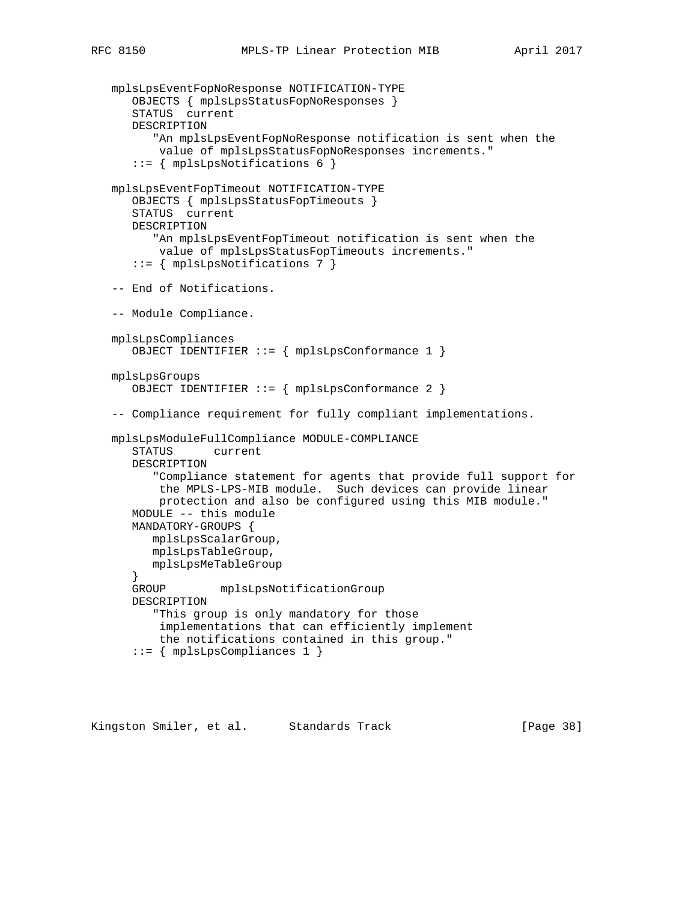```
 mplsLpsEventFopNoResponse NOTIFICATION-TYPE
    OBJECTS { mplsLpsStatusFopNoResponses }
    STATUS current
    DESCRIPTION
       "An mplsLpsEventFopNoResponse notification is sent when the
        value of mplsLpsStatusFopNoResponses increments."
    ::= { mplsLpsNotifications 6 }
 mplsLpsEventFopTimeout NOTIFICATION-TYPE
    OBJECTS { mplsLpsStatusFopTimeouts }
    STATUS current
    DESCRIPTION
       "An mplsLpsEventFopTimeout notification is sent when the
        value of mplsLpsStatusFopTimeouts increments."
    ::= { mplsLpsNotifications 7 }
 -- End of Notifications.
 -- Module Compliance.
 mplsLpsCompliances
    OBJECT IDENTIFIER ::= { mplsLpsConformance 1 }
 mplsLpsGroups
    OBJECT IDENTIFIER ::= { mplsLpsConformance 2 }
 -- Compliance requirement for fully compliant implementations.
 mplsLpsModuleFullCompliance MODULE-COMPLIANCE
    STATUS current
    DESCRIPTION
       "Compliance statement for agents that provide full support for
        the MPLS-LPS-MIB module. Such devices can provide linear
        protection and also be configured using this MIB module."
    MODULE -- this module
    MANDATORY-GROUPS {
       mplsLpsScalarGroup,
       mplsLpsTableGroup,
       mplsLpsMeTableGroup
    }
    GROUP mplsLpsNotificationGroup
    DESCRIPTION
       "This group is only mandatory for those
        implementations that can efficiently implement
        the notifications contained in this group."
    ::= { mplsLpsCompliances 1 }
```
Kingston Smiler, et al. Standards Track [Page 38]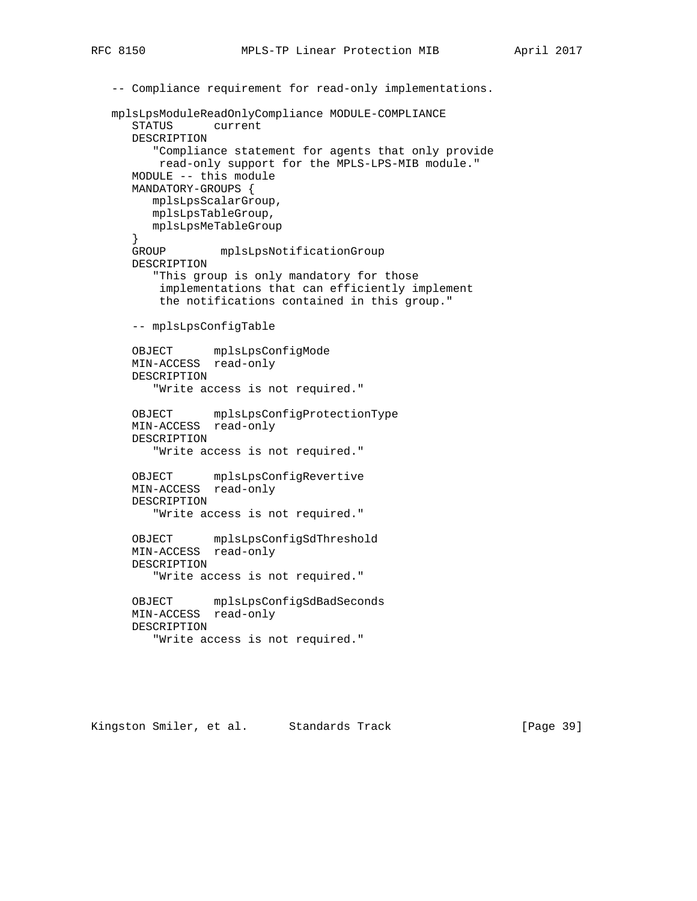```
 -- Compliance requirement for read-only implementations.
   mplsLpsModuleReadOnlyCompliance MODULE-COMPLIANCE
      STATUS current
      DESCRIPTION
         "Compliance statement for agents that only provide
          read-only support for the MPLS-LPS-MIB module."
      MODULE -- this module
      MANDATORY-GROUPS {
         mplsLpsScalarGroup,
         mplsLpsTableGroup,
         mplsLpsMeTableGroup
      }
      GROUP mplsLpsNotificationGroup
      DESCRIPTION
         "This group is only mandatory for those
          implementations that can efficiently implement
          the notifications contained in this group."
      -- mplsLpsConfigTable
      OBJECT mplsLpsConfigMode
      MIN-ACCESS read-only
      DESCRIPTION
         "Write access is not required."
 OBJECT mplsLpsConfigProtectionType
 MIN-ACCESS read-only
      DESCRIPTION
         "Write access is not required."
      OBJECT mplsLpsConfigRevertive
      MIN-ACCESS read-only
      DESCRIPTION
         "Write access is not required."
      OBJECT mplsLpsConfigSdThreshold
      MIN-ACCESS read-only
      DESCRIPTION
         "Write access is not required."
      OBJECT mplsLpsConfigSdBadSeconds
      MIN-ACCESS read-only
      DESCRIPTION
         "Write access is not required."
```
Kingston Smiler, et al. Standards Track [Page 39]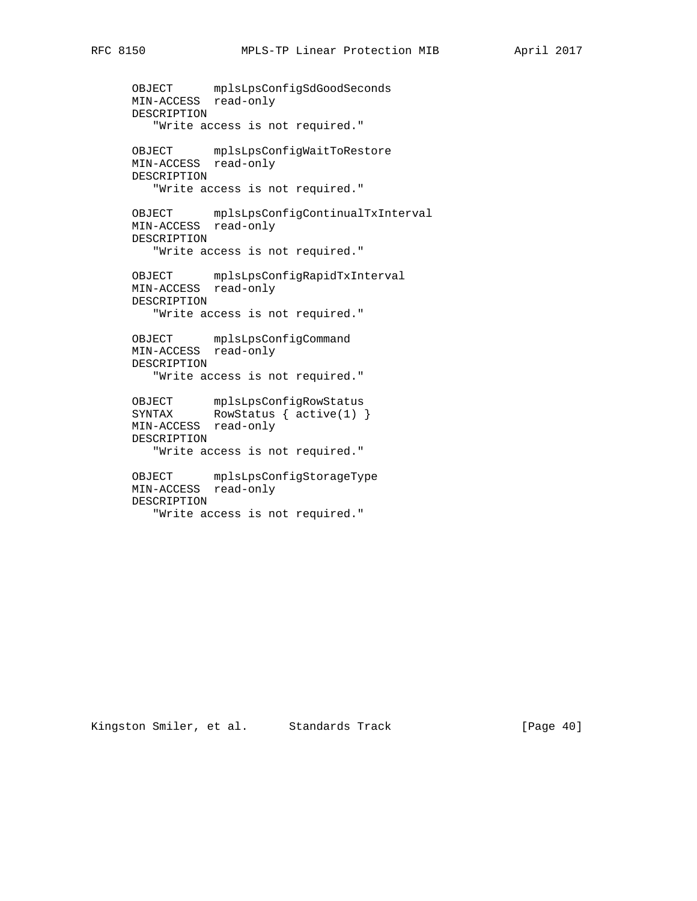```
 OBJECT mplsLpsConfigSdGoodSeconds
 MIN-ACCESS read-only
      DESCRIPTION
         "Write access is not required."
      OBJECT mplsLpsConfigWaitToRestore
      MIN-ACCESS read-only
      DESCRIPTION
         "Write access is not required."
      OBJECT mplsLpsConfigContinualTxInterval
      MIN-ACCESS read-only
      DESCRIPTION
         "Write access is not required."
 OBJECT mplsLpsConfigRapidTxInterval
 MIN-ACCESS read-only
      DESCRIPTION
         "Write access is not required."
      OBJECT mplsLpsConfigCommand
      MIN-ACCESS read-only
      DESCRIPTION
         "Write access is not required."
 OBJECT mplsLpsConfigRowStatus
SYNTAX RowStatus { active(1) }
 MIN-ACCESS read-only
      DESCRIPTION
         "Write access is not required."
```
 OBJECT mplsLpsConfigStorageType MIN-ACCESS read-only DESCRIPTION "Write access is not required."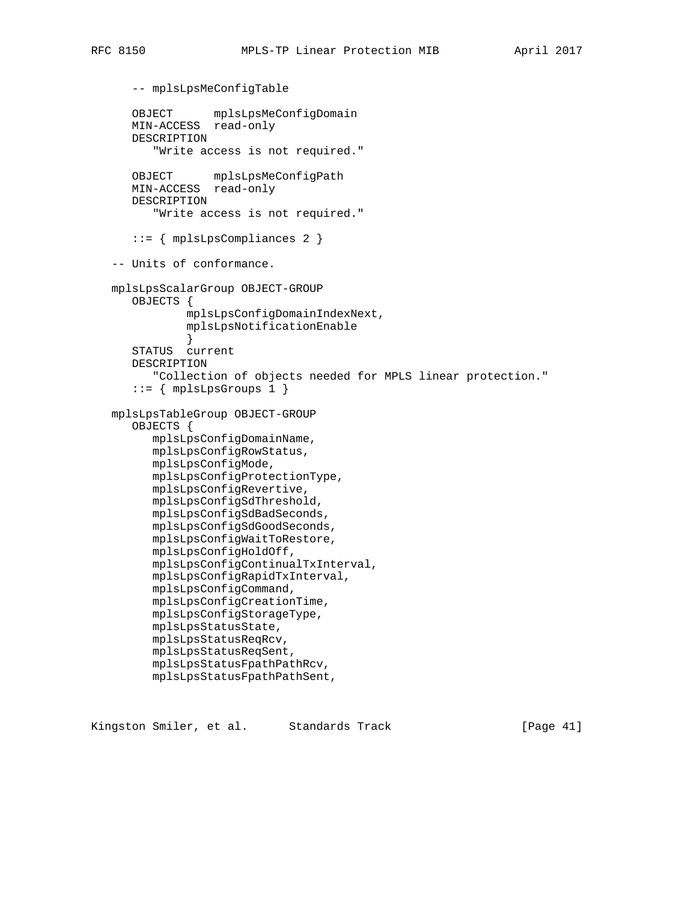```
 -- mplsLpsMeConfigTable
       OBJECT mplsLpsMeConfigDomain
      MIN-ACCESS read-only
      DESCRIPTION
          "Write access is not required."
      OBJECT mplsLpsMeConfigPath
      MIN-ACCESS read-only
      DESCRIPTION
          "Write access is not required."
       ::= { mplsLpsCompliances 2 }
   -- Units of conformance.
   mplsLpsScalarGroup OBJECT-GROUP
      OBJECTS {
               mplsLpsConfigDomainIndexNext,
               mplsLpsNotificationEnable
 }
       STATUS current
       DESCRIPTION
          "Collection of objects needed for MPLS linear protection."
      ::= { mplsLpsGroups 1 }
   mplsLpsTableGroup OBJECT-GROUP
       OBJECTS {
          mplsLpsConfigDomainName,
          mplsLpsConfigRowStatus,
          mplsLpsConfigMode,
          mplsLpsConfigProtectionType,
          mplsLpsConfigRevertive,
          mplsLpsConfigSdThreshold,
          mplsLpsConfigSdBadSeconds,
          mplsLpsConfigSdGoodSeconds,
          mplsLpsConfigWaitToRestore,
          mplsLpsConfigHoldOff,
          mplsLpsConfigContinualTxInterval,
          mplsLpsConfigRapidTxInterval,
          mplsLpsConfigCommand,
          mplsLpsConfigCreationTime,
          mplsLpsConfigStorageType,
          mplsLpsStatusState,
          mplsLpsStatusReqRcv,
          mplsLpsStatusReqSent,
          mplsLpsStatusFpathPathRcv,
          mplsLpsStatusFpathPathSent,
```
Kingston Smiler, et al. Standards Track [Page 41]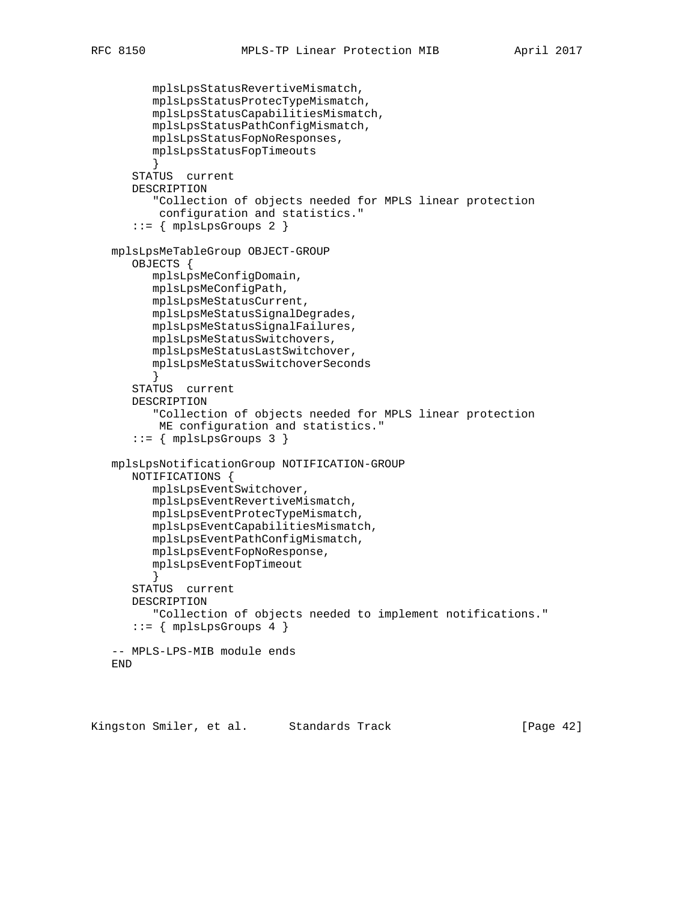```
 mplsLpsStatusRevertiveMismatch,
       mplsLpsStatusProtecTypeMismatch,
       mplsLpsStatusCapabilitiesMismatch,
       mplsLpsStatusPathConfigMismatch,
       mplsLpsStatusFopNoResponses,
       mplsLpsStatusFopTimeouts
       }
    STATUS current
    DESCRIPTION
       "Collection of objects needed for MPLS linear protection
        configuration and statistics."
   ::= { mplsLpsGroups 2 }
 mplsLpsMeTableGroup OBJECT-GROUP
    OBJECTS {
       mplsLpsMeConfigDomain,
       mplsLpsMeConfigPath,
       mplsLpsMeStatusCurrent,
       mplsLpsMeStatusSignalDegrades,
       mplsLpsMeStatusSignalFailures,
       mplsLpsMeStatusSwitchovers,
       mplsLpsMeStatusLastSwitchover,
       mplsLpsMeStatusSwitchoverSeconds
       }
    STATUS current
    DESCRIPTION
       "Collection of objects needed for MPLS linear protection
        ME configuration and statistics."
    ::= { mplsLpsGroups 3 }
 mplsLpsNotificationGroup NOTIFICATION-GROUP
   NOTIFICATIONS {
       mplsLpsEventSwitchover,
       mplsLpsEventRevertiveMismatch,
       mplsLpsEventProtecTypeMismatch,
       mplsLpsEventCapabilitiesMismatch,
       mplsLpsEventPathConfigMismatch,
       mplsLpsEventFopNoResponse,
       mplsLpsEventFopTimeout
       }
    STATUS current
    DESCRIPTION
       "Collection of objects needed to implement notifications."
   ::= \{ mplsLpsGroups 4 \} -- MPLS-LPS-MIB module ends
 END
```
Kingston Smiler, et al. Standards Track [Page 42]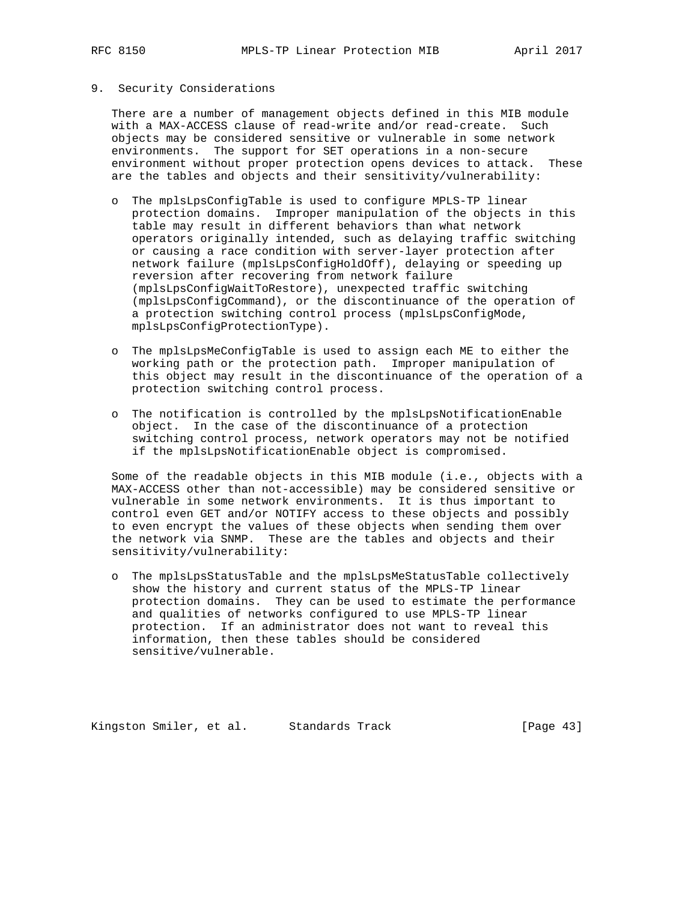### 9. Security Considerations

 There are a number of management objects defined in this MIB module with a MAX-ACCESS clause of read-write and/or read-create. Such objects may be considered sensitive or vulnerable in some network environments. The support for SET operations in a non-secure environment without proper protection opens devices to attack. These are the tables and objects and their sensitivity/vulnerability:

- o The mplsLpsConfigTable is used to configure MPLS-TP linear protection domains. Improper manipulation of the objects in this table may result in different behaviors than what network operators originally intended, such as delaying traffic switching or causing a race condition with server-layer protection after network failure (mplsLpsConfigHoldOff), delaying or speeding up reversion after recovering from network failure (mplsLpsConfigWaitToRestore), unexpected traffic switching (mplsLpsConfigCommand), or the discontinuance of the operation of a protection switching control process (mplsLpsConfigMode, mplsLpsConfigProtectionType).
- o The mplsLpsMeConfigTable is used to assign each ME to either the working path or the protection path. Improper manipulation of this object may result in the discontinuance of the operation of a protection switching control process.
- o The notification is controlled by the mplsLpsNotificationEnable object. In the case of the discontinuance of a protection switching control process, network operators may not be notified if the mplsLpsNotificationEnable object is compromised.

 Some of the readable objects in this MIB module (i.e., objects with a MAX-ACCESS other than not-accessible) may be considered sensitive or vulnerable in some network environments. It is thus important to control even GET and/or NOTIFY access to these objects and possibly to even encrypt the values of these objects when sending them over the network via SNMP. These are the tables and objects and their sensitivity/vulnerability:

 o The mplsLpsStatusTable and the mplsLpsMeStatusTable collectively show the history and current status of the MPLS-TP linear protection domains. They can be used to estimate the performance and qualities of networks configured to use MPLS-TP linear protection. If an administrator does not want to reveal this information, then these tables should be considered sensitive/vulnerable.

Kingston Smiler, et al. Standards Track [Page 43]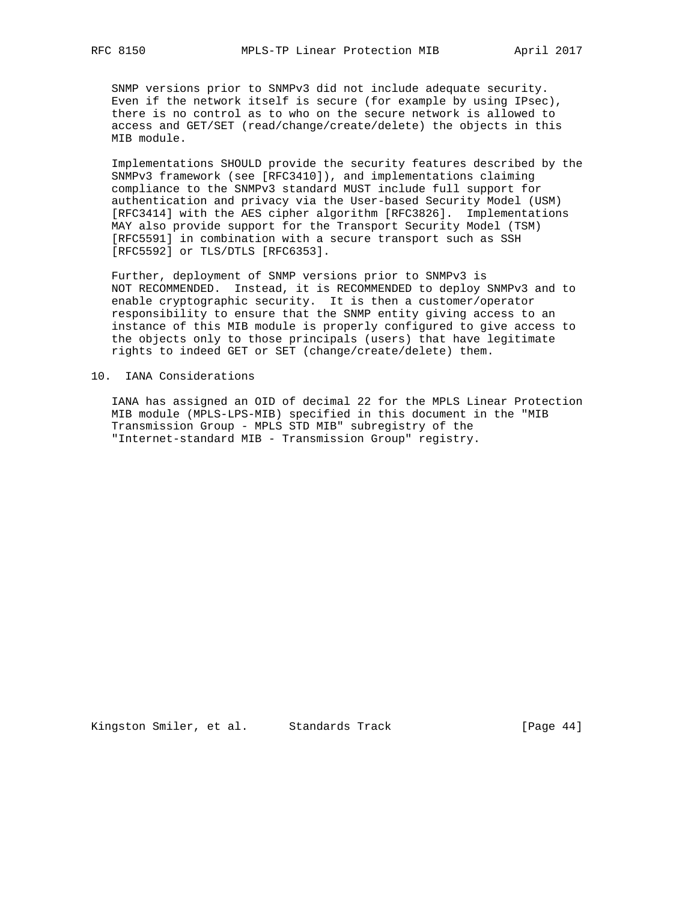SNMP versions prior to SNMPv3 did not include adequate security. Even if the network itself is secure (for example by using IPsec), there is no control as to who on the secure network is allowed to access and GET/SET (read/change/create/delete) the objects in this MIB module.

 Implementations SHOULD provide the security features described by the SNMPv3 framework (see [RFC3410]), and implementations claiming compliance to the SNMPv3 standard MUST include full support for authentication and privacy via the User-based Security Model (USM) [RFC3414] with the AES cipher algorithm [RFC3826]. Implementations MAY also provide support for the Transport Security Model (TSM) [RFC5591] in combination with a secure transport such as SSH [RFC5592] or TLS/DTLS [RFC6353].

 Further, deployment of SNMP versions prior to SNMPv3 is NOT RECOMMENDED. Instead, it is RECOMMENDED to deploy SNMPv3 and to enable cryptographic security. It is then a customer/operator responsibility to ensure that the SNMP entity giving access to an instance of this MIB module is properly configured to give access to the objects only to those principals (users) that have legitimate rights to indeed GET or SET (change/create/delete) them.

### 10. IANA Considerations

 IANA has assigned an OID of decimal 22 for the MPLS Linear Protection MIB module (MPLS-LPS-MIB) specified in this document in the "MIB Transmission Group - MPLS STD MIB" subregistry of the "Internet-standard MIB - Transmission Group" registry.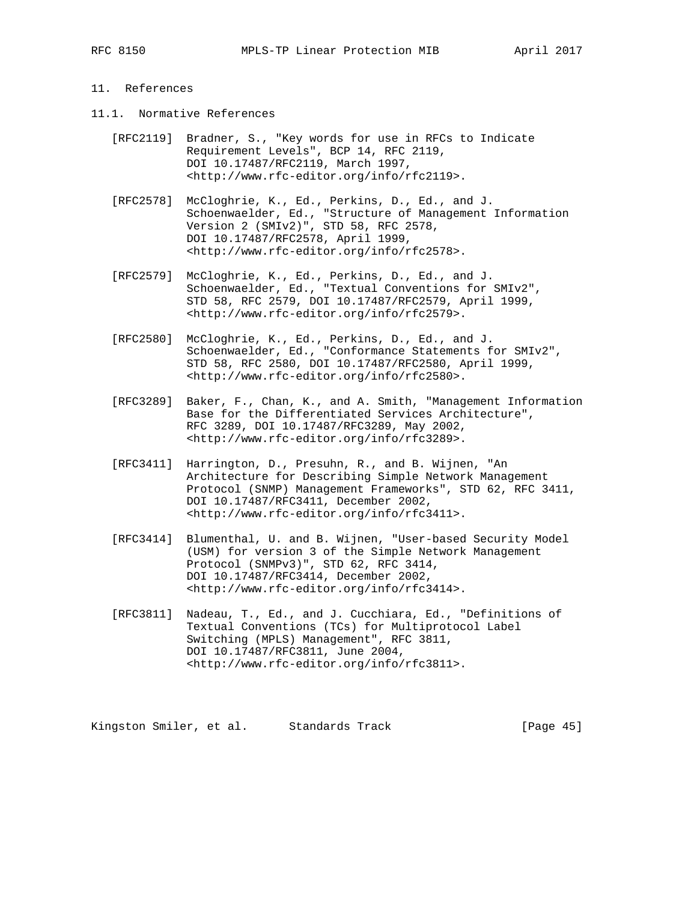# 11. References

- 11.1. Normative References
	- [RFC2119] Bradner, S., "Key words for use in RFCs to Indicate Requirement Levels", BCP 14, RFC 2119, DOI 10.17487/RFC2119, March 1997, <http://www.rfc-editor.org/info/rfc2119>.
	- [RFC2578] McCloghrie, K., Ed., Perkins, D., Ed., and J. Schoenwaelder, Ed., "Structure of Management Information Version 2 (SMIv2)", STD 58, RFC 2578, DOI 10.17487/RFC2578, April 1999, <http://www.rfc-editor.org/info/rfc2578>.
	- [RFC2579] McCloghrie, K., Ed., Perkins, D., Ed., and J. Schoenwaelder, Ed., "Textual Conventions for SMIv2", STD 58, RFC 2579, DOI 10.17487/RFC2579, April 1999, <http://www.rfc-editor.org/info/rfc2579>.
	- [RFC2580] McCloghrie, K., Ed., Perkins, D., Ed., and J. Schoenwaelder, Ed., "Conformance Statements for SMIv2", STD 58, RFC 2580, DOI 10.17487/RFC2580, April 1999, <http://www.rfc-editor.org/info/rfc2580>.
	- [RFC3289] Baker, F., Chan, K., and A. Smith, "Management Information Base for the Differentiated Services Architecture", RFC 3289, DOI 10.17487/RFC3289, May 2002, <http://www.rfc-editor.org/info/rfc3289>.
	- [RFC3411] Harrington, D., Presuhn, R., and B. Wijnen, "An Architecture for Describing Simple Network Management Protocol (SNMP) Management Frameworks", STD 62, RFC 3411, DOI 10.17487/RFC3411, December 2002, <http://www.rfc-editor.org/info/rfc3411>.
	- [RFC3414] Blumenthal, U. and B. Wijnen, "User-based Security Model (USM) for version 3 of the Simple Network Management Protocol (SNMPv3)", STD 62, RFC 3414, DOI 10.17487/RFC3414, December 2002, <http://www.rfc-editor.org/info/rfc3414>.
	- [RFC3811] Nadeau, T., Ed., and J. Cucchiara, Ed., "Definitions of Textual Conventions (TCs) for Multiprotocol Label Switching (MPLS) Management", RFC 3811, DOI 10.17487/RFC3811, June 2004, <http://www.rfc-editor.org/info/rfc3811>.

Kingston Smiler, et al. Standards Track [Page 45]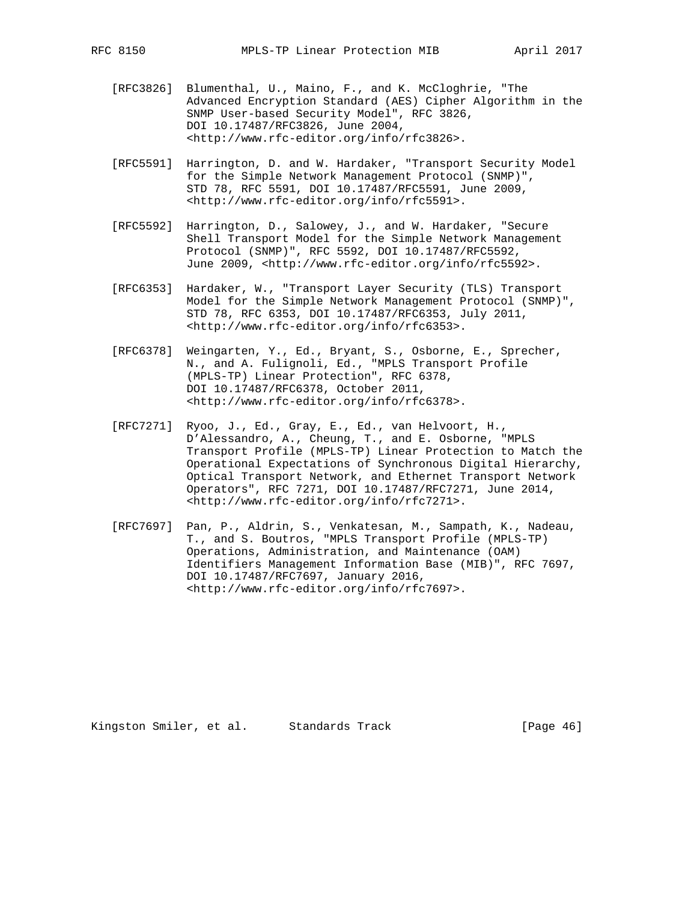- [RFC3826] Blumenthal, U., Maino, F., and K. McCloghrie, "The Advanced Encryption Standard (AES) Cipher Algorithm in the SNMP User-based Security Model", RFC 3826, DOI 10.17487/RFC3826, June 2004, <http://www.rfc-editor.org/info/rfc3826>.
- [RFC5591] Harrington, D. and W. Hardaker, "Transport Security Model for the Simple Network Management Protocol (SNMP)", STD 78, RFC 5591, DOI 10.17487/RFC5591, June 2009, <http://www.rfc-editor.org/info/rfc5591>.
- [RFC5592] Harrington, D., Salowey, J., and W. Hardaker, "Secure Shell Transport Model for the Simple Network Management Protocol (SNMP)", RFC 5592, DOI 10.17487/RFC5592, June 2009, <http://www.rfc-editor.org/info/rfc5592>.
- [RFC6353] Hardaker, W., "Transport Layer Security (TLS) Transport Model for the Simple Network Management Protocol (SNMP)", STD 78, RFC 6353, DOI 10.17487/RFC6353, July 2011, <http://www.rfc-editor.org/info/rfc6353>.
- [RFC6378] Weingarten, Y., Ed., Bryant, S., Osborne, E., Sprecher, N., and A. Fulignoli, Ed., "MPLS Transport Profile (MPLS-TP) Linear Protection", RFC 6378, DOI 10.17487/RFC6378, October 2011, <http://www.rfc-editor.org/info/rfc6378>.
- [RFC7271] Ryoo, J., Ed., Gray, E., Ed., van Helvoort, H., D'Alessandro, A., Cheung, T., and E. Osborne, "MPLS Transport Profile (MPLS-TP) Linear Protection to Match the Operational Expectations of Synchronous Digital Hierarchy, Optical Transport Network, and Ethernet Transport Network Operators", RFC 7271, DOI 10.17487/RFC7271, June 2014, <http://www.rfc-editor.org/info/rfc7271>.
- [RFC7697] Pan, P., Aldrin, S., Venkatesan, M., Sampath, K., Nadeau, T., and S. Boutros, "MPLS Transport Profile (MPLS-TP) Operations, Administration, and Maintenance (OAM) Identifiers Management Information Base (MIB)", RFC 7697, DOI 10.17487/RFC7697, January 2016, <http://www.rfc-editor.org/info/rfc7697>.

Kingston Smiler, et al. Standards Track [Page 46]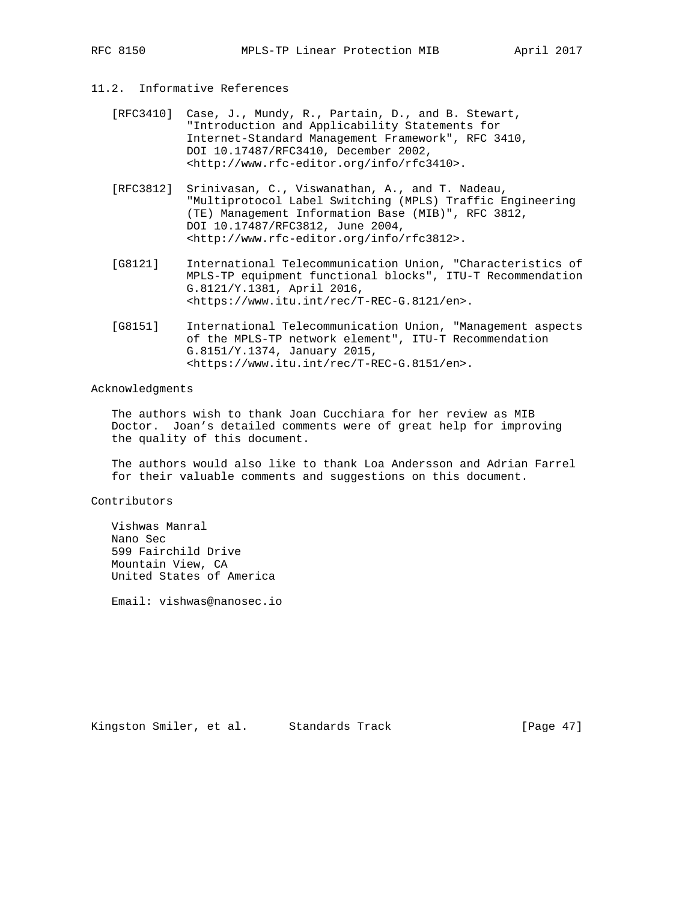# 11.2. Informative References

- [RFC3410] Case, J., Mundy, R., Partain, D., and B. Stewart, "Introduction and Applicability Statements for Internet-Standard Management Framework", RFC 3410, DOI 10.17487/RFC3410, December 2002, <http://www.rfc-editor.org/info/rfc3410>.
- [RFC3812] Srinivasan, C., Viswanathan, A., and T. Nadeau, "Multiprotocol Label Switching (MPLS) Traffic Engineering (TE) Management Information Base (MIB)", RFC 3812, DOI 10.17487/RFC3812, June 2004, <http://www.rfc-editor.org/info/rfc3812>.
- [G8121] International Telecommunication Union, "Characteristics of MPLS-TP equipment functional blocks", ITU-T Recommendation G.8121/Y.1381, April 2016, <https://www.itu.int/rec/T-REC-G.8121/en>.
- [G8151] International Telecommunication Union, "Management aspects of the MPLS-TP network element", ITU-T Recommendation G.8151/Y.1374, January 2015, <https://www.itu.int/rec/T-REC-G.8151/en>.

## Acknowledgments

 The authors wish to thank Joan Cucchiara for her review as MIB Doctor. Joan's detailed comments were of great help for improving the quality of this document.

 The authors would also like to thank Loa Andersson and Adrian Farrel for their valuable comments and suggestions on this document.

## Contributors

 Vishwas Manral Nano Sec 599 Fairchild Drive Mountain View, CA United States of America

Email: vishwas@nanosec.io